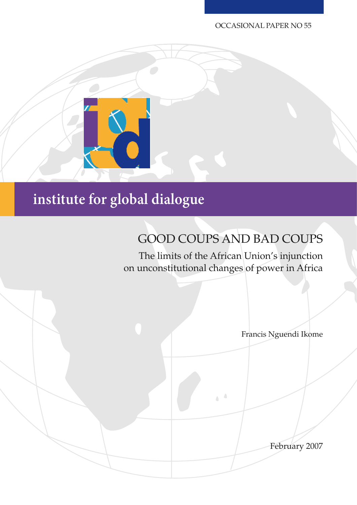Occasional paper no 55



# **institute for global dialogue**

## GOOD COUPS AND BAD COUPS

The limits of the African Union's injunction on unconstitutional changes of power in Africa

> $\overline{\phantom{a}}$  $\overline{\phantom{a}}$

Francis Nguendi Ikome

February 2007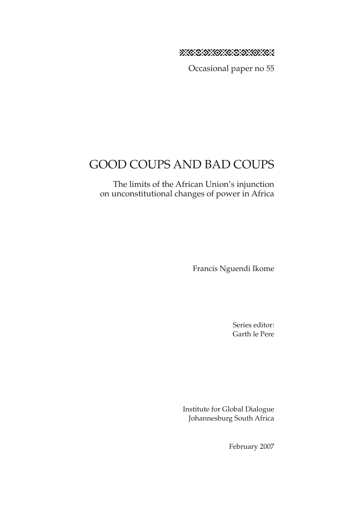

Occasional paper no 55

## GOOD COUPS AND BAD COUPS

The limits of the African Union's injunction on unconstitutional changes of power in Africa

Francis Nguendi Ikome

Series editor: Garth le Pere

Institute for Global Dialogue Johannesburg South Africa

February 2007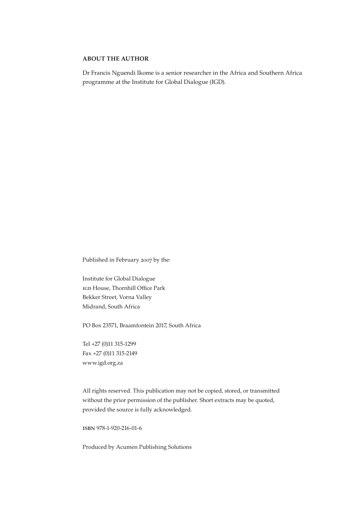## **ABOUT THE AUTHOR**

Dr Francis Nguendi Ikome is a senior researcher in the Africa and Southern Africa programme at the Institute for Global Dialogue (IGD).

Published in February 2007 by the:

Institute for Global Dialogue igd House, Thornhill Office Park Bekker Street, Vorna Valley Midrand, South Africa

PO Box 23571, Braamfontein 2017, South Africa

Tel +27 (0)11 315-1299 Fax +27 (0)11 315-2149 www.igd.org.za

All rights reserved. This publication may not be copied, stored, or transmitted without the prior permission of the publisher. Short extracts may be quoted, provided the source is fully acknowledged.

isbn 978-1-920-216-01-6

Produced by Acumen Publishing Solutions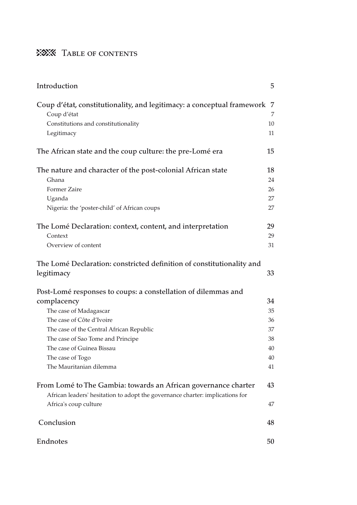## **950 TABLE OF CONTENTS**

| Introduction                                                                                                                                                                                                                                                                                     | 5                                            |
|--------------------------------------------------------------------------------------------------------------------------------------------------------------------------------------------------------------------------------------------------------------------------------------------------|----------------------------------------------|
| Coup d'état, constitutionality, and legitimacy: a conceptual framework 7<br>Coup d'état<br>Constitutions and constitutionality<br>Legitimacy                                                                                                                                                     | 7<br>10<br>11                                |
| The African state and the coup culture: the pre-Lomé era                                                                                                                                                                                                                                         | 15                                           |
| The nature and character of the post-colonial African state<br>Ghana<br>Former Zaire<br>Uganda<br>Nigeria: the 'poster-child' of African coups                                                                                                                                                   | 18<br>24<br>26<br>27<br>27                   |
| The Lomé Declaration: context, content, and interpretation<br>Context<br>Overview of content                                                                                                                                                                                                     | 29<br>29<br>31                               |
| The Lomé Declaration: constricted definition of constitutionality and<br>legitimacy                                                                                                                                                                                                              | 33                                           |
| Post-Lomé responses to coups: a constellation of dilemmas and<br>complacency<br>The case of Madagascar<br>The case of Côte d'Ivoire<br>The case of the Central African Republic<br>The case of Sao Tome and Principe<br>The case of Guinea Bissau<br>The case of Togo<br>The Mauritanian dilemma | 34<br>35<br>36<br>37<br>38<br>40<br>40<br>41 |
| From Lomé to The Gambia: towards an African governance charter<br>African leaders' hesitation to adopt the governance charter: implications for<br>Africa's coup culture                                                                                                                         | 43<br>47                                     |
| Conclusion                                                                                                                                                                                                                                                                                       | 48                                           |
| Endnotes                                                                                                                                                                                                                                                                                         | 50                                           |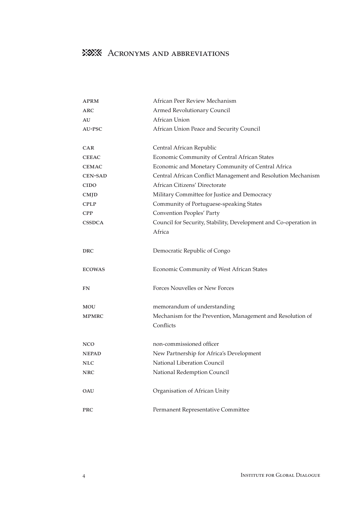## **950 ACRONYMS AND ABBREVIATIONS**

| ${\rm APRM}$   | African Peer Review Mechanism                                           |
|----------------|-------------------------------------------------------------------------|
| ARC            | Armed Revolutionary Council                                             |
| AU             | African Union                                                           |
| AU-PSC         | African Union Peace and Security Council                                |
| CAR            | Central African Republic                                                |
| <b>CEEAC</b>   | Economic Community of Central African States                            |
| <b>CEMAC</b>   | Economic and Monetary Community of Central Africa                       |
| <b>CEN-SAD</b> | Central African Conflict Management and Resolution Mechanism            |
| <b>CIDO</b>    | African Citizens' Directorate                                           |
| CMJD           | Military Committee for Justice and Democracy                            |
| <b>CPLP</b>    | Community of Portuguese-speaking States                                 |
| CPP            | Convention Peoples' Party                                               |
| <b>CSSDCA</b>  | Council for Security, Stability, Development and Co-operation in        |
|                | Africa                                                                  |
| <b>DRC</b>     | Democratic Republic of Congo                                            |
| <b>ECOWAS</b>  | Economic Community of West African States                               |
| FN             | Forces Nouvelles or New Forces                                          |
| MOU            | memorandum of understanding                                             |
| <b>MPMRC</b>   | Mechanism for the Prevention, Management and Resolution of<br>Conflicts |
| NCO            | non-commissioned officer                                                |
| <b>NEPAD</b>   | New Partnership for Africa's Development                                |
| NLC            | National Liberation Council                                             |
| <b>NRC</b>     | National Redemption Council                                             |
| <b>OAU</b>     | Organisation of African Unity                                           |
| <b>PRC</b>     | Permanent Representative Committee                                      |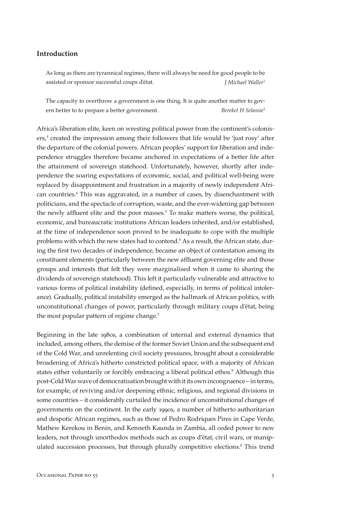## **Introduction**

As long as there are tyrannical regimes, there will always be need for good people to be assisted or sponsor successful coups d'état. *J Michael Waller*<sup>1</sup>

The capacity to overthrow a government is one thing. It is quite another matter to govern better to to prepare a better government. *Bereket H Selassie*<sup>2</sup>

Africa's liberation elite, keen on wresting political power from the continent's colonisers,<sup>3</sup> created the impression among their followers that life would be 'just rosy' after the departure of the colonial powers. African peoples' support for liberation and independence struggles therefore became anchored in expectations of a better life after the attainment of sovereign statehood. Unfortunately, however, shortly after independence the soaring expectations of economic, social, and political well-being were replaced by disappointment and frustration in a majority of newly independent African countries.4 This was aggravated, in a number of cases, by disenchantment with politicians, and the spectacle of corruption, waste, and the ever-widening gap between the newly affluent elite and the poor masses.<sup>5</sup> To make matters worse, the political, economic, and bureaucratic institutions African leaders inherited, and/or established, at the time of independence soon proved to be inadequate to cope with the multiple problems with which the new states had to contend.<sup>6</sup> As a result, the African state, during the first two decades of independence, became an object of contestation among its constituent elements (particularly between the new affluent governing elite and those groups and interests that felt they were marginalised when it came to sharing the dividends of sovereign statehood). This left it particularly vulnerable and attractive to various forms of political instability (defined, especially, in terms of political intolerance). Gradually, political instability emerged as the hallmark of African politics, with unconstitutional changes of power, particularly through military coups d'état, being the most popular pattern of regime change.<sup>7</sup>

Beginning in the late 1980s, a combination of internal and external dynamics that included, among others, the demise of the former Soviet Union and the subsequent end of the Cold War, and unrelenting civil society pressures, brought about a considerable broadening of Africa's hitherto constricted political space, with a majority of African states either voluntarily or forcibly embracing a liberal political ethos.<sup>8</sup> Although this post-Cold War wave of democratisation brought with it its own incongruence – in terms, for example, of reviving and/or deepening ethnic, religious, and regional divisions in some countries – it considerably curtailed the incidence of unconstitutional changes of governments on the continent. In the early 1990s, a number of hitherto authoritarian and despotic African regimes, such as those of Pedro Rodriques Pires in Cape Verde, Mathew Kerekou in Benin, and Kenneth Kaunda in Zambia, all ceded power to new leaders, not through unorthodox methods such as coups d'état, civil wars, or manipulated succession processes, but through plurally competitive elections.<sup>9</sup> This trend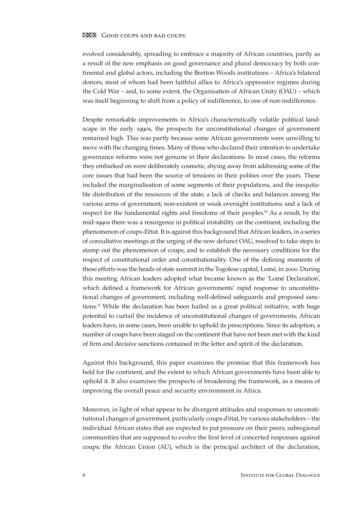evolved considerably, spreading to embrace a majority of African countries, partly as a result of the new emphasis on good governance and plural democracy by both continental and global actors, including the Bretton Woods institutions – Africa's bilateral donors, most of whom had been faithful allies to Africa's oppressive regimes during the Cold War – and, to some extent, the Organisation of African Unity (OAU) – which was itself beginning to shift from a policy of indifference, to one of non-indifference.

Despite remarkable improvements in Africa's characteristically volatile political landscape in the early 1990s, the prospects for unconstitutional changes of government remained high. This was partly because some African governments were unwilling to move with the changing times. Many of those who declared their intention to undertake governance reforms were not genuine in their declarations. In most cases, the reforms they embarked on were deliberately cosmetic, shying away from addressing some of the core issues that had been the source of tensions in their polities over the years. These included the marginalisation of some segments of their populations, and the inequitable distribution of the resources of the state; a lack of checks and balances among the various arms of government; non-existent or weak oversight institutions; and a lack of respect for the fundamental rights and freedoms of their peoples.10 As a result, by the mid-1990s there was a resurgence in political instability on the continent, including the phenomenon of coups d'état. It is against this background that African leaders, in a series of consultative meetings at the urging of the now defunct OAU, resolved to take steps to stamp out the phenomenon of coups, and to establish the necessary conditions for the respect of constitutional order and constitutionality. One of the defining moments of these efforts was the heads of state summit in the Togolese capital, Lomé, in 2000. During this meeting African leaders adopted what became known as the 'Lomé Declaration', which defined a framework for African governments' rapid response to unconstitutional changes of government, including well-defined safeguards and proposed sanctions.<sup>11</sup> While the declaration has been hailed as a great political initiative, with huge potential to curtail the incidence of unconstitutional changes of governments, African leaders have, in some cases, been unable to uphold its prescriptions. Since its adoption, a number of coups have been staged on the continent that have not been met with the kind of firm and decisive sanctions contained in the letter and spirit of the declaration.

Against this background, this paper examines the promise that this framework has held for the continent, and the extent to which African governments have been able to uphold it. It also examines the prospects of broadening the framework, as a means of improving the overall peace and security environment in Africa.

Moreover, in light of what appear to be divergent attitudes and responses to unconstitutional changes of government, particularly coups d'état, by various stakeholders – the individual African states that are expected to put pressure on their peers; subregional communities that are supposed to evolve the first level of concerted responses against coups; the African Union (AU), which is the principal architect of the declaration,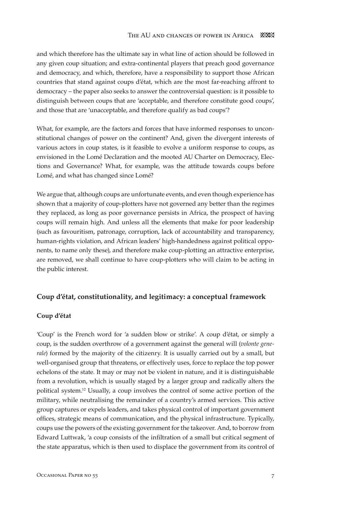and which therefore has the ultimate say in what line of action should be followed in any given coup situation; and extra-continental players that preach good governance and democracy, and which, therefore, have a responsibility to support those African countries that stand against coups d'état, which are the most far-reaching affront to democracy – the paper also seeks to answer the controversial question: is it possible to distinguish between coups that are 'acceptable, and therefore constitute good coups', and those that are 'unacceptable, and therefore qualify as bad coups'?

What, for example, are the factors and forces that have informed responses to unconstitutional changes of power on the continent? And, given the divergent interests of various actors in coup states, is it feasible to evolve a uniform response to coups, as envisioned in the Lomé Declaration and the mooted AU Charter on Democracy, Elections and Governance? What, for example, was the attitude towards coups before Lomé, and what has changed since Lomé?

We argue that, although coups are unfortunate events, and even though experience has shown that a majority of coup-plotters have not governed any better than the regimes they replaced, as long as poor governance persists in Africa, the prospect of having coups will remain high. And unless all the elements that make for poor leadership (such as favouritism, patronage, corruption, lack of accountability and transparency, human-rights violation, and African leaders' high-handedness against political opponents, to name only these), and therefore make coup-plotting an attractive enterprise, are removed, we shall continue to have coup-plotters who will claim to be acting in the public interest.

## **Coup d'état, constitutionality, and legitimacy: a conceptual framework**

## **Coup d'état**

'Coup' is the French word for 'a sudden blow or strike'. A coup d'état, or simply a coup, is the sudden overthrow of a government against the general will (*volonte generale*) formed by the majority of the citizenry. It is usually carried out by a small, but well-organised group that threatens, or effectively uses, force to replace the top power echelons of the state. It may or may not be violent in nature, and it is distinguishable from a revolution, which is usually staged by a larger group and radically alters the political system.12 Usually, a coup involves the control of some active portion of the military, while neutralising the remainder of a country's armed services. This active group captures or expels leaders, and takes physical control of important government offices, strategic means of communication, and the physical infrastructure. Typically, coups use the powers of the existing government for the takeover. And, to borrow from Edward Luttwak, 'a coup consists of the infiltration of a small but critical segment of the state apparatus, which is then used to displace the government from its control of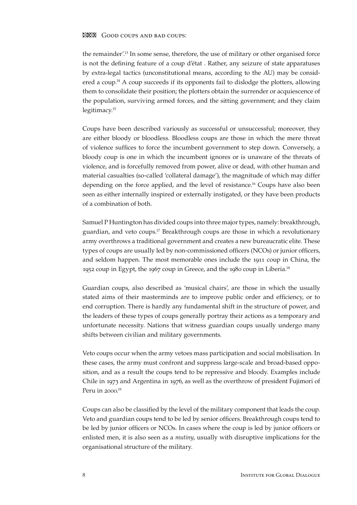the remainder'.13 In some sense, therefore, the use of military or other organised force is not the defining feature of a coup d'état . Rather, any seizure of state apparatuses by extra-legal tactics (unconstitutional means, according to the AU) may be considered a coup.14 A coup succeeds if its opponents fail to dislodge the plotters, allowing them to consolidate their position; the plotters obtain the surrender or acquiescence of the population, surviving armed forces, and the sitting government; and they claim legitimacy.15

Coups have been described variously as successful or unsuccessful; moreover, they are either bloody or bloodless. Bloodless coups are those in which the mere threat of violence suffices to force the incumbent government to step down. Conversely, a bloody coup is one in which the incumbent ignores or is unaware of the threats of violence, and is forcefully removed from power, alive or dead, with other human and material casualties (so-called 'collateral damage'), the magnitude of which may differ depending on the force applied, and the level of resistance.<sup>16</sup> Coups have also been seen as either internally inspired or externally instigated, or they have been products of a combination of both.

Samuel P Huntington has divided coups into three major types, namely: breakthrough, guardian, and veto coups.17 Breakthrough coups are those in which a revolutionary army overthrows a traditional government and creates a new bureaucratic elite. These types of coups are usually led by non-commissioned officers (NCOs) or junior officers, and seldom happen. The most memorable ones include the 1911 coup in China, the 1952 coup in Egypt, the 1967 coup in Greece, and the 1980 coup in Liberia.18

Guardian coups, also described as 'musical chairs', are those in which the usually stated aims of their masterminds are to improve public order and efficiency, or to end corruption. There is hardly any fundamental shift in the structure of power, and the leaders of these types of coups generally portray their actions as a temporary and unfortunate necessity. Nations that witness guardian coups usually undergo many shifts between civilian and military governments.

Veto coups occur when the army vetoes mass participation and social mobilisation. In these cases, the army must confront and suppress large-scale and broad-based opposition, and as a result the coups tend to be repressive and bloody. Examples include Chile in 1973 and Argentina in 1976, as well as the overthrow of president Fujimori of Peru in 2000.<sup>19</sup>

Coups can also be classified by the level of the military component that leads the coup. Veto and guardian coups tend to be led by senior officers. Breakthrough coups tend to be led by junior officers or NCOs. In cases where the coup is led by junior officers or enlisted men, it is also seen as a *mutiny*, usually with disruptive implications for the organisational structure of the military.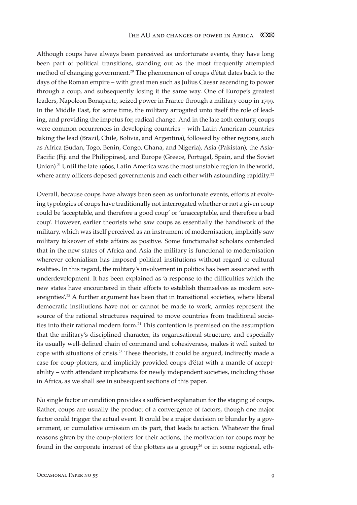Although coups have always been perceived as unfortunate events, they have long been part of political transitions, standing out as the most frequently attempted method of changing government*.* <sup>20</sup> The phenomenon of coups d'état dates back to the days of the Roman empire – with great men such as Julius Caesar ascending to power through a coup, and subsequently losing it the same way. One of Europe's greatest leaders, Napoleon Bonaparte, seized power in France through a military coup in 1799. In the Middle East, for some time, the military arrogated unto itself the role of leading, and providing the impetus for, radical change. And in the late 20th century, coups were common occurrences in developing countries – with Latin American countries taking the lead (Brazil, Chile, Bolivia, and Argentina), followed by other regions, such as Africa (Sudan, Togo, Benin, Congo, Ghana, and Nigeria), Asia (Pakistan), the Asia-Pacific (Fiji and the Philippines), and Europe (Greece, Portugal, Spain, and the Soviet Union).<sup>21</sup> Until the late 1960s, Latin America was the most unstable region in the world, where army officers deposed governments and each other with astounding rapidity.<sup>22</sup>

Overall, because coups have always been seen as unfortunate events, efforts at evolving typologies of coups have traditionally not interrogated whether or not a given coup could be 'acceptable, and therefore a good coup' or 'unacceptable, and therefore a bad coup'. However, earlier theorists who saw coups as essentially the handiwork of the military, which was itself perceived as an instrument of modernisation, implicitly saw military takeover of state affairs as positive. Some functionalist scholars contended that in the new states of Africa and Asia the military is functional to modernisation wherever colonialism has imposed political institutions without regard to cultural realities. In this regard, the military's involvement in politics has been associated with underdevelopment. It has been explained as 'a response to the difficulties which the new states have encountered in their efforts to establish themselves as modern sovereignties'.<sup>23</sup> A further argument has been that in transitional societies, where liberal democratic institutions have not or cannot be made to work, armies represent the source of the rational structures required to move countries from traditional societies into their rational modern form.<sup>24</sup> This contention is premised on the assumption that the military's disciplined character, its organisational structure, and especially its usually well-defined chain of command and cohesiveness, makes it well suited to cope with situations of crisis.<sup>25</sup> These theorists, it could be argued, indirectly made a case for coup-plotters, and implicitly provided coups d'état with a mantle of acceptability – with attendant implications for newly independent societies, including those in Africa, as we shall see in subsequent sections of this paper.

No single factor or condition provides a sufficient explanation for the staging of coups. Rather, coups are usually the product of a convergence of factors, though one major factor could trigger the actual event. It could be a major decision or blunder by a government, or cumulative omission on its part, that leads to action. Whatever the final reasons given by the coup-plotters for their actions, the motivation for coups may be found in the corporate interest of the plotters as a group;<sup>26</sup> or in some regional, eth-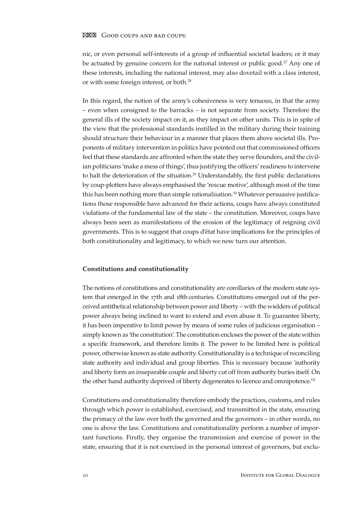nic, or even personal self-interests of a group of influential societal leaders; or it may be actuated by genuine concern for the national interest or public good.<sup>27</sup> Any one of these interests, including the national interest, may also dovetail with a class interest, or with some foreign interest, or both.28

In this regard, the notion of the army's cohesiveness is very tenuous, in that the army – even when consigned to the barracks – is not separate from society. Therefore the general ills of the society impact on it, as they impact on other units. This is in spite of the view that the professional standards instilled in the military during their training should structure their behaviour in a manner that places them above societal ills. Proponents of military intervention in politics have pointed out that commissioned officers feel that these standards are affronted when the state they serve flounders, and the civilian politicians 'make a mess of things', thus justifying the officers' readiness to intervene to halt the deterioration of the situation.<sup>29</sup> Understandably, the first public declarations by coup-plotters have always emphasised the 'rescue motive', although most of the time this has been nothing more than simple rationalisation.<sup>30</sup> Whatever persuasive justifications those responsible have advanced for their actions, coups have always constituted violations of the fundamental law of the state – the constitution. Moreover, coups have always been seen as manifestations of the erosion of the legitimacy of reigning civil governments. This is to suggest that coups d'état have implications for the principles of both constitutionality and legitimacy, to which we now turn our attention.

#### **Constitutions and constitutionality**

The notions of constitutions and constitutionality are corollaries of the modern state system that emerged in the 17th and 18th centuries. Constitutions emerged out of the perceived antithetical relationship between power and liberty – with the wielders of political power always being inclined to want to extend and even abuse it. To guarantee liberty, it has been imperative to limit power by means of some rules of judicious organisation – simply known as 'the constitution'. The constitution encloses the power of the state within a specific framework, and therefore limits it. The power to be limited here is political power, otherwise known as state authority. Constitutionality is a technique of reconciling state authority and individual and group liberties. This is necessary because 'authority and liberty form an inseparable couple and liberty cut off from authority buries itself. On the other hand authority deprived of liberty degenerates to licence and omnipotence.'31

Constitutions and constitutionality therefore embody the practices, customs, and rules through which power is established, exercised, and transmitted in the state, ensuring the primacy of the law over both the governed and the governors – in other words, no one is above the law. Constitutions and constitutionality perform a number of important functions. Firstly, they organise the transmission and exercise of power in the state, ensuring that it is not exercised in the personal interest of governors, but exclu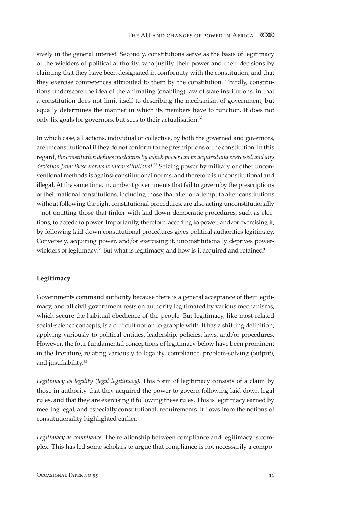sively in the general interest. Secondly, constitutions serve as the basis of legitimacy of the wielders of political authority, who justify their power and their decisions by claiming that they have been designated in conformity with the constitution, and that they exercise competences attributed to them by the constitution. Thirdly, constitutions underscore the idea of the animating (enabling) law of state institutions, in that a constitution does not limit itself to describing the mechanism of government, but equally determines the manner in which its members have to function. It does not only fix goals for governors, but sees to their actualisation.<sup>32</sup>

In which case, all actions, individual or collective, by both the governed and governors, are unconstitutional if they do not conform to the prescriptions of the constitution. In this regard, *the constitution defines modalities by which power can be acquired and exercised, and any deviation from these norms is unconstitutional*. <sup>33</sup> Seizing power by military or other unconventional methods is against constitutional norms, and therefore is unconstitutional and illegal. At the same time, incumbent governments that fail to govern by the prescriptions of their national constitutions, including those that alter or attempt to alter constitutions without following the right constitutional procedures, are also acting unconstitutionally – not omitting those that tinker with laid-down democratic procedures, such as elections, to accede to power. Importantly, therefore, acceding to power, and/or exercising it, by following laid-down constitutional procedures gives political authorities legitimacy. Conversely, acquiring power, and/or exercising it, unconstitutionally deprives powerwielders of legitimacy.<sup>34</sup> But what is legitimacy, and how is it acquired and retained?

## **Legitimacy**

Governments command authority because there is a general acceptance of their legitimacy, and all civil government rests on authority legitimated by various mechanisms, which secure the habitual obedience of the people. But legitimacy, like most related social-science concepts, is a difficult notion to grapple with. It has a shifting definition, applying variously to political entities, leadership, policies, laws, and/or procedures. However, the four fundamental conceptions of legitimacy below have been prominent in the literature, relating variously to legality, compliance, problem-solving (output), and justifiability.35

*Legitimacy as legality (legal legitimacy)*. This form of legitimacy consists of a claim by those in authority that they acquired the power to govern following laid-down legal rules, and that they are exercising it following these rules. This is legitimacy earned by meeting legal, and especially constitutional, requirements. It flows from the notions of constitutionality highlighted earlier.

*Legitimacy as compliance*. The relationship between compliance and legitimacy is complex. This has led some scholars to argue that compliance is not necessarily a compo-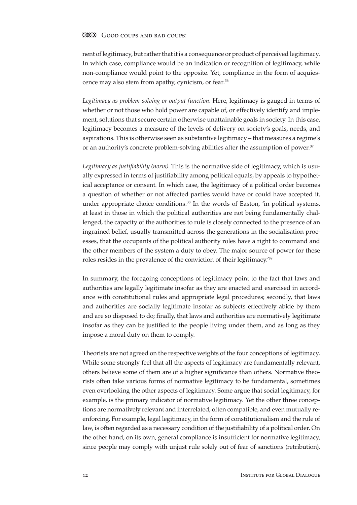nent of legitimacy, but rather that it is a consequence or product of perceived legitimacy. In which case, compliance would be an indication or recognition of legitimacy, while non-compliance would point to the opposite. Yet, compliance in the form of acquiescence may also stem from apathy, cynicism, or fear.36

*Legitimacy as problem-solving or output function*. Here, legitimacy is gauged in terms of whether or not those who hold power are capable of, or effectively identify and implement, solutions that secure certain otherwise unattainable goals in society. In this case, legitimacy becomes a measure of the levels of delivery on society's goals, needs, and aspirations. This is otherwise seen as substantive legitimacy – that measures a regime's or an authority's concrete problem-solving abilities after the assumption of power.<sup>37</sup>

*Legitimacy as justifiability (norm)*. This is the normative side of legitimacy, which is usually expressed in terms of justifiability among political equals, by appeals to hypothetical acceptance or consent. In which case, the legitimacy of a political order becomes a question of whether or not affected parties would have or could have accepted it, under appropriate choice conditions.38 In the words of Easton, 'in political systems, at least in those in which the political authorities are not being fundamentally challenged, the capacity of the authorities to rule is closely connected to the presence of an ingrained belief, usually transmitted across the generations in the socialisation processes, that the occupants of the political authority roles have a right to command and the other members of the system a duty to obey. The major source of power for these roles resides in the prevalence of the conviction of their legitimacy.'39

In summary, the foregoing conceptions of legitimacy point to the fact that laws and authorities are legally legitimate insofar as they are enacted and exercised in accordance with constitutional rules and appropriate legal procedures; secondly, that laws and authorities are socially legitimate insofar as subjects effectively abide by them and are so disposed to do; finally, that laws and authorities are normatively legitimate insofar as they can be justified to the people living under them, and as long as they impose a moral duty on them to comply.

Theorists are not agreed on the respective weights of the four conceptions of legitimacy. While some strongly feel that all the aspects of legitimacy are fundamentally relevant, others believe some of them are of a higher significance than others. Normative theorists often take various forms of normative legitimacy to be fundamental, sometimes even overlooking the other aspects of legitimacy. Some argue that social legitimacy, for example, is the primary indicator of normative legitimacy. Yet the other three conceptions are normatively relevant and interrelated, often compatible, and even mutually reenforcing. For example, legal legitimacy, in the form of constitutionalism and the rule of law, is often regarded as a necessary condition of the justifiability of a political order. On the other hand, on its own, general compliance is insufficient for normative legitimacy, since people may comply with unjust rule solely out of fear of sanctions (retribution),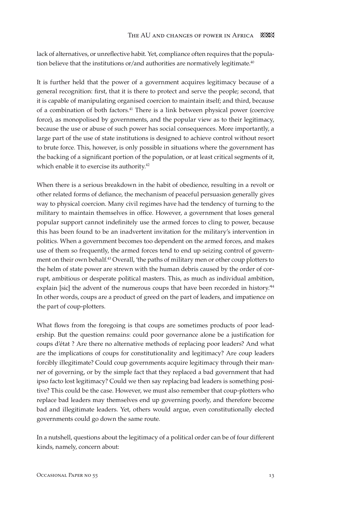lack of alternatives, or unreflective habit. Yet, compliance often requires that the population believe that the institutions or/and authorities are normatively legitimate.<sup>40</sup>

It is further held that the power of a government acquires legitimacy because of a general recognition: first, that it is there to protect and serve the people; second, that it is capable of manipulating organised coercion to maintain itself; and third, because of a combination of both factors.<sup>41</sup> There is a link between physical power (coercive force), as monopolised by governments, and the popular view as to their legitimacy, because the use or abuse of such power has social consequences. More importantly, a large part of the use of state institutions is designed to achieve control without resort to brute force. This, however, is only possible in situations where the government has the backing of a significant portion of the population, or at least critical segments of it, which enable it to exercise its authority.<sup>42</sup>

When there is a serious breakdown in the habit of obedience, resulting in a revolt or other related forms of defiance, the mechanism of peaceful persuasion generally gives way to physical coercion. Many civil regimes have had the tendency of turning to the military to maintain themselves in office. However, a government that loses general popular support cannot indefinitely use the armed forces to cling to power, because this has been found to be an inadvertent invitation for the military's intervention in politics. When a government becomes too dependent on the armed forces, and makes use of them so frequently, the armed forces tend to end up seizing control of government on their own behalf.<sup>43</sup> Overall, 'the paths of military men or other coup plotters to the helm of state power are strewn with the human debris caused by the order of corrupt, ambitious or desperate political masters. This, as much as individual ambition, explain [sic] the advent of the numerous coups that have been recorded in history.<sup>44</sup> In other words, coups are a product of greed on the part of leaders, and impatience on the part of coup-plotters.

What flows from the foregoing is that coups are sometimes products of poor leadership. But the question remains: could poor governance alone be a justification for coups d'état ? Are there no alternative methods of replacing poor leaders? And what are the implications of coups for constitutionality and legitimacy? Are coup leaders forcibly illegitimate? Could coup governments acquire legitimacy through their manner of governing, or by the simple fact that they replaced a bad government that had ipso facto lost legitimacy? Could we then say replacing bad leaders is something positive? This could be the case. However, we must also remember that coup-plotters who replace bad leaders may themselves end up governing poorly, and therefore become bad and illegitimate leaders. Yet, others would argue, even constitutionally elected governments could go down the same route.

In a nutshell, questions about the legitimacy of a political order can be of four different kinds, namely, concern about: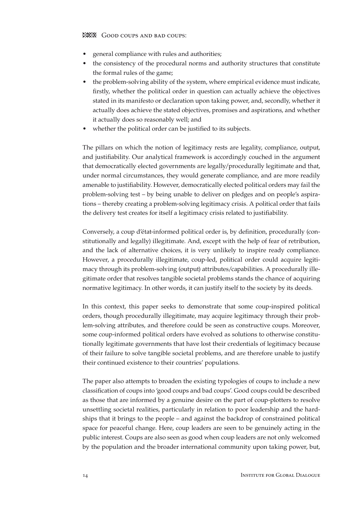- general compliance with rules and authorities; •
- the consistency of the procedural norms and authority structures that constitute the formal rules of the game;
- the problem-solving ability of the system, where empirical evidence must indicate, firstly, whether the political order in question can actually achieve the objectives stated in its manifesto or declaration upon taking power, and, secondly, whether it actually does achieve the stated objectives, promises and aspirations, and whether it actually does so reasonably well; and
- whether the political order can be justified to its subjects. •

The pillars on which the notion of legitimacy rests are legality, compliance, output, and justifiability. Our analytical framework is accordingly couched in the argument that democratically elected governments are legally/procedurally legitimate and that, under normal circumstances, they would generate compliance, and are more readily amenable to justifiability. However, democratically elected political orders may fail the problem-solving test – by being unable to deliver on pledges and on people's aspirations – thereby creating a problem-solving legitimacy crisis. A political order that fails the delivery test creates for itself a legitimacy crisis related to justifiability.

Conversely, a coup d'état-informed political order is, by definition, procedurally (constitutionally and legally) illegitimate. And, except with the help of fear of retribution, and the lack of alternative choices, it is very unlikely to inspire ready compliance. However, a procedurally illegitimate, coup-led, political order could acquire legitimacy through its problem-solving (output) attributes/capabilities. A procedurally illegitimate order that resolves tangible societal problems stands the chance of acquiring normative legitimacy. In other words, it can justify itself to the society by its deeds.

In this context, this paper seeks to demonstrate that some coup-inspired political orders, though procedurally illegitimate, may acquire legitimacy through their problem-solving attributes, and therefore could be seen as constructive coups. Moreover, some coup-informed political orders have evolved as solutions to otherwise constitutionally legitimate governments that have lost their credentials of legitimacy because of their failure to solve tangible societal problems, and are therefore unable to justify their continued existence to their countries' populations.

The paper also attempts to broaden the existing typologies of coups to include a new classification of coups into 'good coups and bad coups'. Good coups could be described as those that are informed by a genuine desire on the part of coup-plotters to resolve unsettling societal realities, particularly in relation to poor leadership and the hardships that it brings to the people – and against the backdrop of constrained political space for peaceful change. Here, coup leaders are seen to be genuinely acting in the public interest. Coups are also seen as good when coup leaders are not only welcomed by the population and the broader international community upon taking power, but,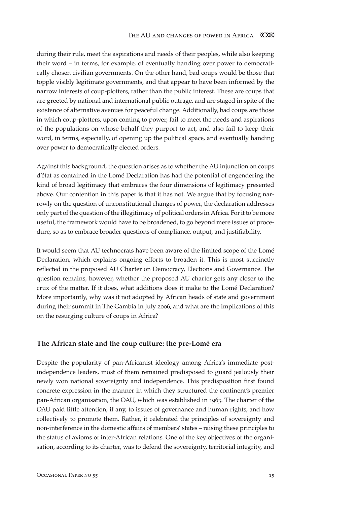during their rule, meet the aspirations and needs of their peoples, while also keeping their word – in terms, for example, of eventually handing over power to democratically chosen civilian governments. On the other hand, bad coups would be those that topple visibly legitimate governments, and that appear to have been informed by the narrow interests of coup-plotters, rather than the public interest. These are coups that are greeted by national and international public outrage, and are staged in spite of the existence of alternative avenues for peaceful change. Additionally, bad coups are those in which coup-plotters, upon coming to power, fail to meet the needs and aspirations of the populations on whose behalf they purport to act, and also fail to keep their word, in terms, especially, of opening up the political space, and eventually handing over power to democratically elected orders.

Against this background, the question arises as to whether the AU injunction on coups d'état as contained in the Lomé Declaration has had the potential of engendering the kind of broad legitimacy that embraces the four dimensions of legitimacy presented above. Our contention in this paper is that it has not. We argue that by focusing narrowly on the question of unconstitutional changes of power, the declaration addresses only part of the question of the illegitimacy of political orders in Africa. For it to be more useful, the framework would have to be broadened, to go beyond mere issues of procedure, so as to embrace broader questions of compliance, output, and justifiability.

It would seem that AU technocrats have been aware of the limited scope of the Lomé Declaration, which explains ongoing efforts to broaden it. This is most succinctly reflected in the proposed AU Charter on Democracy, Elections and Governance. The question remains, however, whether the proposed AU charter gets any closer to the crux of the matter. If it does, what additions does it make to the Lomé Declaration? More importantly, why was it not adopted by African heads of state and government during their summit in The Gambia in July 2006, and what are the implications of this on the resurging culture of coups in Africa?

## **The African state and the coup culture: the pre-Lomé era**

Despite the popularity of pan-Africanist ideology among Africa's immediate postindependence leaders, most of them remained predisposed to guard jealously their newly won national sovereignty and independence. This predisposition first found concrete expression in the manner in which they structured the continent's premier pan-African organisation, the OAU, which was established in 1963. The charter of the OAU paid little attention, if any, to issues of governance and human rights; and how collectively to promote them. Rather, it celebrated the principles of sovereignty and non-interference in the domestic affairs of members' states – raising these principles to the status of axioms of inter-African relations. One of the key objectives of the organisation, according to its charter, was to defend the sovereignty, territorial integrity, and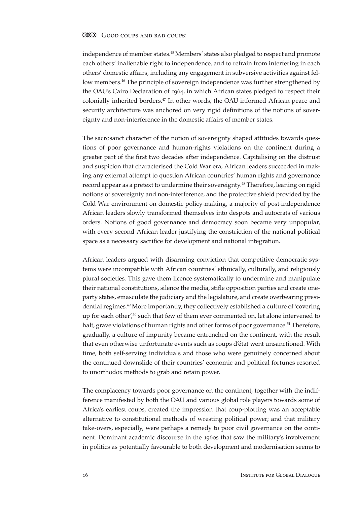independence of member states.45 Members' states also pledged to respect and promote each others' inalienable right to independence, and to refrain from interfering in each others' domestic affairs, including any engagement in subversive activities against fellow members.<sup>46</sup> The principle of sovereign independence was further strengthened by the OAU's Cairo Declaration of 1964, in which African states pledged to respect their colonially inherited borders.47 In other words, the OAU-informed African peace and security architecture was anchored on very rigid definitions of the notions of sovereignty and non-interference in the domestic affairs of member states.

The sacrosanct character of the notion of sovereignty shaped attitudes towards questions of poor governance and human-rights violations on the continent during a greater part of the first two decades after independence. Capitalising on the distrust and suspicion that characterised the Cold War era, African leaders succeeded in making any external attempt to question African countries' human rights and governance record appear as a pretext to undermine their sovereignty.<sup>48</sup> Therefore, leaning on rigid notions of sovereignty and non-interference, and the protective shield provided by the Cold War environment on domestic policy-making, a majority of post-independence African leaders slowly transformed themselves into despots and autocrats of various orders. Notions of good governance and democracy soon became very unpopular, with every second African leader justifying the constriction of the national political space as a necessary sacrifice for development and national integration.

African leaders argued with disarming conviction that competitive democratic systems were incompatible with African countries' ethnically, culturally, and religiously plural societies. This gave them licence systematically to undermine and manipulate their national constitutions, silence the media, stifle opposition parties and create oneparty states, emasculate the judiciary and the legislature, and create overbearing presidential regimes.49 More importantly, they collectively established a culture of 'covering up for each other',50 such that few of them ever commented on, let alone intervened to halt, grave violations of human rights and other forms of poor governance.<sup>51</sup> Therefore, gradually, a culture of impunity became entrenched on the continent, with the result that even otherwise unfortunate events such as coups d'état went unsanctioned. With time, both self-serving individuals and those who were genuinely concerned about the continued downslide of their countries' economic and political fortunes resorted to unorthodox methods to grab and retain power.

The complacency towards poor governance on the continent, together with the indifference manifested by both the OAU and various global role players towards some of Africa's earliest coups, created the impression that coup-plotting was an acceptable alternative to constitutional methods of wresting political power; and that military take-overs, especially, were perhaps a remedy to poor civil governance on the continent. Dominant academic discourse in the 1960s that saw the military's involvement in politics as potentially favourable to both development and modernisation seems to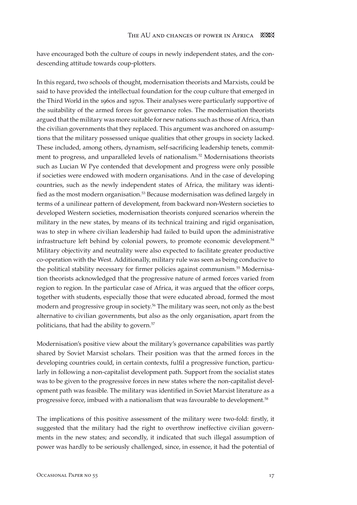have encouraged both the culture of coups in newly independent states, and the condescending attitude towards coup-plotters.

In this regard, two schools of thought, modernisation theorists and Marxists, could be said to have provided the intellectual foundation for the coup culture that emerged in the Third World in the 1960s and 1970s. Their analyses were particularly supportive of the suitability of the armed forces for governance roles. The modernisation theorists argued that the military was more suitable for new nations such as those of Africa, than the civilian governments that they replaced. This argument was anchored on assumptions that the military possessed unique qualities that other groups in society lacked. These included, among others, dynamism, self-sacrificing leadership tenets, commitment to progress, and unparalleled levels of nationalism.<sup>52</sup> Modernisations theorists such as Lucian W Pye contended that development and progress were only possible if societies were endowed with modern organisations. And in the case of developing countries, such as the newly independent states of Africa, the military was identified as the most modern organisation.<sup>53</sup> Because modernisation was defined largely in terms of a unilinear pattern of development, from backward non-Western societies to developed Western societies, modernisation theorists conjured scenarios wherein the military in the new states, by means of its technical training and rigid organisation, was to step in where civilian leadership had failed to build upon the administrative infrastructure left behind by colonial powers, to promote economic development.<sup>54</sup> Military objectivity and neutrality were also expected to facilitate greater productive co-operation with the West. Additionally, military rule was seen as being conducive to the political stability necessary for firmer policies against communism.<sup>55</sup> Modernisation theorists acknowledged that the progressive nature of armed forces varied from region to region. In the particular case of Africa, it was argued that the officer corps, together with students, especially those that were educated abroad, formed the most modern and progressive group in society.<sup>56</sup> The military was seen, not only as the best alternative to civilian governments, but also as the only organisation, apart from the politicians, that had the ability to govern.<sup>57</sup>

Modernisation's positive view about the military's governance capabilities was partly shared by Soviet Marxist scholars. Their position was that the armed forces in the developing countries could, in certain contexts, fulfil a progressive function, particularly in following a non-capitalist development path. Support from the socialist states was to be given to the progressive forces in new states where the non-capitalist development path was feasible. The military was identified in Soviet Marxist literature as a progressive force, imbued with a nationalism that was favourable to development.58

The implications of this positive assessment of the military were two-fold: firstly, it suggested that the military had the right to overthrow ineffective civilian governments in the new states; and secondly, it indicated that such illegal assumption of power was hardly to be seriously challenged, since, in essence, it had the potential of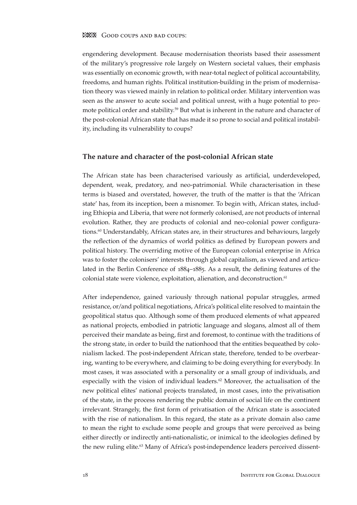engendering development. Because modernisation theorists based their assessment of the military's progressive role largely on Western societal values, their emphasis was essentially on economic growth, with near-total neglect of political accountability, freedoms, and human rights. Political institution-building in the prism of modernisation theory was viewed mainly in relation to political order. Military intervention was seen as the answer to acute social and political unrest, with a huge potential to promote political order and stability.59 But what is inherent in the nature and character of the post-colonial African state that has made it so prone to social and political instability, including its vulnerability to coups?

## **The nature and character of the post-colonial African state**

The African state has been characterised variously as artificial, underdeveloped, dependent, weak, predatory, and neo-patrimonial. While characterisation in these terms is biased and overstated, however, the truth of the matter is that the 'African state' has, from its inception, been a misnomer. To begin with, African states, including Ethiopia and Liberia, that were not formerly colonised, are not products of internal evolution. Rather, they are products of colonial and neo-colonial power configurations.<sup>60</sup> Understandably, African states are, in their structures and behaviours, largely the reflection of the dynamics of world politics as defined by European powers and political history. The overriding motive of the European colonial enterprise in Africa was to foster the colonisers' interests through global capitalism, as viewed and articulated in the Berlin Conference of 1884–1885. As a result, the defining features of the colonial state were violence, exploitation, alienation, and deconstruction.<sup>61</sup>

After independence, gained variously through national popular struggles, armed resistance, or/and political negotiations, Africa's political elite resolved to maintain the geopolitical status quo. Although some of them produced elements of what appeared as national projects, embodied in patriotic language and slogans, almost all of them perceived their mandate as being, first and foremost, to continue with the traditions of the strong state, in order to build the nationhood that the entities bequeathed by colonialism lacked. The post-independent African state, therefore, tended to be overbearing, wanting to be everywhere, and claiming to be doing everything for everybody. In most cases, it was associated with a personality or a small group of individuals, and especially with the vision of individual leaders.<sup>62</sup> Moreover, the actualisation of the new political elites' national projects translated, in most cases, into the privatisation of the state, in the process rendering the public domain of social life on the continent irrelevant. Strangely, the first form of privatisation of the African state is associated with the rise of nationalism. In this regard, the state as a private domain also came to mean the right to exclude some people and groups that were perceived as being either directly or indirectly anti-nationalistic, or inimical to the ideologies defined by the new ruling elite.<sup>63</sup> Many of Africa's post-independence leaders perceived dissent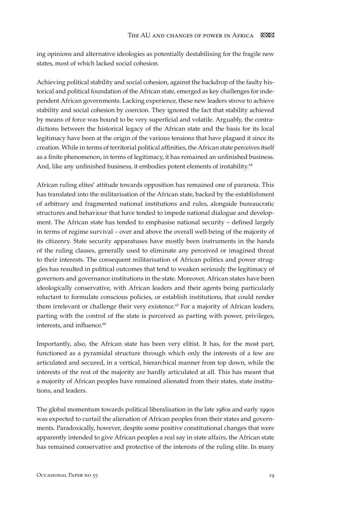ing opinions and alternative ideologies as potentially destabilising for the fragile new states, most of which lacked social cohesion.

Achieving political stability and social cohesion, against the backdrop of the faulty historical and political foundation of the African state, emerged as key challenges for independent African governments. Lacking experience, these new leaders strove to achieve stability and social cohesion by coercion. They ignored the fact that stability achieved by means of force was bound to be very superficial and volatile. Arguably, the contradictions between the historical legacy of the African state and the basis for its local legitimacy have been at the origin of the various tensions that have plagued it since its creation. While in terms of territorial political affinities, the African state perceives itself as a finite phenomenon, in terms of legitimacy, it has remained an unfinished business. And, like any unfinished business, it embodies potent elements of instability.<sup>64</sup>

African ruling elites' attitude towards opposition has remained one of paranoia. This has translated into the militarisation of the African state, backed by the establishment of arbitrary and fragmented national institutions and rules, alongside bureaucratic structures and behaviour that have tended to impede national dialogue and development. The African state has tended to emphasise national security – defined largely in terms of regime survival – over and above the overall well-being of the majority of its citizenry. State security apparatuses have mostly been instruments in the hands of the ruling classes, generally used to eliminate any perceived or imagined threat to their interests. The consequent militarisation of African politics and power struggles has resulted in political outcomes that tend to weaken seriously the legitimacy of governors and governance institutions in the state. Moreover, African states have been ideologically conservative, with African leaders and their agents being particularly reluctant to formulate conscious policies, or establish institutions, that could render them irrelevant or challenge their very existence.<sup>65</sup> For a majority of African leaders, parting with the control of the state is perceived as parting with power, privileges, interests, and influence.<sup>66</sup>

Importantly, also, the African state has been very elitist. It has, for the most part, functioned as a pyramidal structure through which only the interests of a few are articulated and secured, in a vertical, hierarchical manner from top down, while the interests of the rest of the majority are hardly articulated at all. This has meant that a majority of African peoples have remained alienated from their states, state institutions, and leaders.

The global momentum towards political liberalisation in the late 1980s and early 1990s was expected to curtail the alienation of African peoples from their states and governments. Paradoxically, however, despite some positive constitutional changes that were apparently intended to give African peoples a real say in state affairs, the African state has remained conservative and protective of the interests of the ruling elite. In many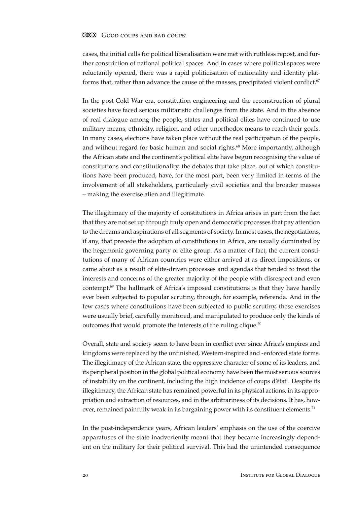cases, the initial calls for political liberalisation were met with ruthless repost, and further constriction of national political spaces. And in cases where political spaces were reluctantly opened, there was a rapid politicisation of nationality and identity platforms that, rather than advance the cause of the masses, precipitated violent conflict.<sup>67</sup>

In the post-Cold War era, constitution engineering and the reconstruction of plural societies have faced serious militaristic challenges from the state. And in the absence of real dialogue among the people, states and political elites have continued to use military means, ethnicity, religion, and other unorthodox means to reach their goals. In many cases, elections have taken place without the real participation of the people, and without regard for basic human and social rights.<sup>68</sup> More importantly, although the African state and the continent's political elite have begun recognising the value of constitutions and constitutionality, the debates that take place, out of which constitutions have been produced, have, for the most part, been very limited in terms of the involvement of all stakeholders, particularly civil societies and the broader masses – making the exercise alien and illegitimate.

The illegitimacy of the majority of constitutions in Africa arises in part from the fact that they are not set up through truly open and democratic processes that pay attention to the dreams and aspirations of all segments of society. In most cases, the negotiations, if any, that precede the adoption of constitutions in Africa, are usually dominated by the hegemonic governing party or elite group. As a matter of fact, the current constitutions of many of African countries were either arrived at as direct impositions, or came about as a result of elite-driven processes and agendas that tended to treat the interests and concerns of the greater majority of the people with disrespect and even contempt.69 The hallmark of Africa's imposed constitutions is that they have hardly ever been subjected to popular scrutiny, through, for example, referenda. And in the few cases where constitutions have been subjected to public scrutiny, these exercises were usually brief, carefully monitored, and manipulated to produce only the kinds of outcomes that would promote the interests of the ruling clique.<sup>70</sup>

Overall, state and society seem to have been in conflict ever since Africa's empires and kingdoms were replaced by the unfinished, Western-inspired and -enforced state forms. The illegitimacy of the African state, the oppressive character of some of its leaders, and its peripheral position in the global political economy have been the most serious sources of instability on the continent, including the high incidence of coups d'état . Despite its illegitimacy, the African state has remained powerful in its physical actions, in its appropriation and extraction of resources, and in the arbitrariness of its decisions. It has, however, remained painfully weak in its bargaining power with its constituent elements.<sup>71</sup>

In the post-independence years, African leaders' emphasis on the use of the coercive apparatuses of the state inadvertently meant that they became increasingly dependent on the military for their political survival. This had the unintended consequence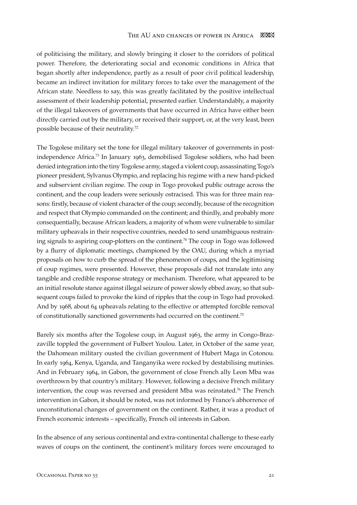of politicising the military, and slowly bringing it closer to the corridors of political power. Therefore, the deteriorating social and economic conditions in Africa that began shortly after independence, partly as a result of poor civil political leadership, became an indirect invitation for military forces to take over the management of the African state. Needless to say, this was greatly facilitated by the positive intellectual assessment of their leadership potential, presented earlier. Understandably, a majority of the illegal takeovers of governments that have occurred in Africa have either been directly carried out by the military, or received their support, or, at the very least, been possible because of their neutrality.72

The Togolese military set the tone for illegal military takeover of governments in postindependence Africa.73 In January 1963, demobilised Togolese soldiers, who had been denied integration into the tiny Togolese army, staged a violent coup, assassinating Togo's pioneer president, Sylvanus Olympio, and replacing his regime with a new hand-picked and subservient civilian regime. The coup in Togo provoked public outrage across the continent, and the coup leaders were seriously ostracised. This was for three main reasons: firstly, because of violent character of the coup; secondly, because of the recognition and respect that Olympio commanded on the continent; and thirdly, and probably more consequentially, because African leaders, a majority of whom were vulnerable to similar military upheavals in their respective countries, needed to send unambiguous restraining signals to aspiring coup-plotters on the continent.<sup>74</sup> The coup in Togo was followed by a flurry of diplomatic meetings, championed by the OAU, during which a myriad proposals on how to curb the spread of the phenomenon of coups, and the legitimising of coup regimes, were presented. However, these proposals did not translate into any tangible and credible response strategy or mechanism. Therefore, what appeared to be an initial resolute stance against illegal seizure of power slowly ebbed away, so that subsequent coups failed to provoke the kind of ripples that the coup in Togo had provoked. And by 1968, about 64 upheavals relating to the effective or attempted forcible removal of constitutionally sanctioned governments had occurred on the continent.75

Barely six months after the Togolese coup, in August 1963, the army in Congo-Brazzaville toppled the government of Fulbert Youlou. Later, in October of the same year, the Dahomean military ousted the civilian government of Hubert Maga in Cotonou. In early 1964, Kenya, Uganda, and Tanganyika were rocked by destabilising mutinies. And in February 1964, in Gabon, the government of close French ally Leon Mba was overthrown by that country's military. However, following a decisive French military intervention, the coup was reversed and president Mba was reinstated.76 The French intervention in Gabon, it should be noted, was not informed by France's abhorrence of unconstitutional changes of government on the continent. Rather, it was a product of French economic interests – specifically, French oil interests in Gabon.

In the absence of any serious continental and extra-continental challenge to these early waves of coups on the continent, the continent's military forces were encouraged to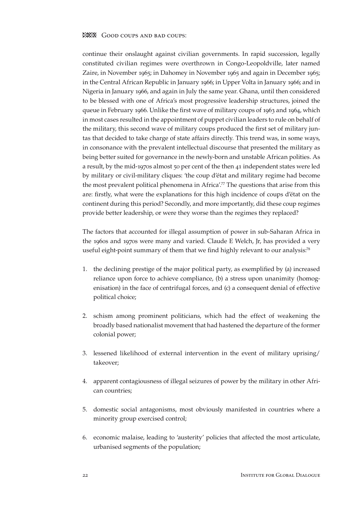continue their onslaught against civilian governments. In rapid succession, legally constituted civilian regimes were overthrown in Congo-Leopoldville, later named Zaire, in November 1965; in Dahomey in November 1965 and again in December 1965; in the Central African Republic in January 1966; in Upper Volta in January 1966; and in Nigeria in January 1966, and again in July the same year. Ghana, until then considered to be blessed with one of Africa's most progressive leadership structures, joined the queue in February 1966. Unlike the first wave of military coups of 1963 and 1964, which in most cases resulted in the appointment of puppet civilian leaders to rule on behalf of the military, this second wave of military coups produced the first set of military juntas that decided to take charge of state affairs directly. This trend was, in some ways, in consonance with the prevalent intellectual discourse that presented the military as being better suited for governance in the newly-born and unstable African polities. As a result, by the mid-1970s almost 50 per cent of the then 41 independent states were led by military or civil-military cliques: 'the coup d'état and military regime had become the most prevalent political phenomena in Africa'.77 The questions that arise from this are: firstly, what were the explanations for this high incidence of coups d'état on the continent during this period? Secondly, and more importantly, did these coup regimes provide better leadership, or were they worse than the regimes they replaced?

The factors that accounted for illegal assumption of power in sub-Saharan Africa in the 1960s and 1970s were many and varied. Claude E Welch, Jr, has provided a very useful eight-point summary of them that we find highly relevant to our analysis:78

- 1. the declining prestige of the major political party, as exemplified by (a) increased reliance upon force to achieve compliance, (b) a stress upon unanimity (homogenisation) in the face of centrifugal forces, and (c) a consequent denial of effective political choice;
- 2. schism among prominent politicians, which had the effect of weakening the broadly based nationalist movement that had hastened the departure of the former colonial power;
- lessened likelihood of external intervention in the event of military uprising/ 3. takeover;
- 4. apparent contagiousness of illegal seizures of power by the military in other African countries;
- domestic social antagonisms, most obviously manifested in countries where a 5. minority group exercised control;
- economic malaise, leading to 'austerity' policies that affected the most articulate, 6.urbanised segments of the population;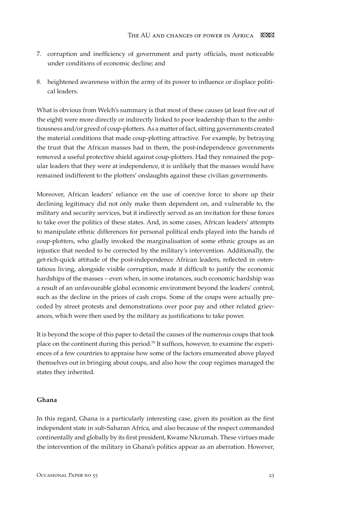- corruption and inefficiency of government and party officials, most noticeable 7. under conditions of economic decline; and
- heightened awareness within the army of its power to influence or displace politi-8.cal leaders.

What is obvious from Welch's summary is that most of these causes (at least five out of the eight) were more directly or indirectly linked to poor leadership than to the ambitiousness and/or greed of coup-plotters. As a matter of fact, sitting governments created the material conditions that made coup-plotting attractive. For example, by betraying the trust that the African masses had in them, the post-independence governments removed a useful protective shield against coup-plotters. Had they remained the popular leaders that they were at independence, it is unlikely that the masses would have remained indifferent to the plotters' onslaughts against these civilian governments.

Moreover, African leaders' reliance on the use of coercive force to shore up their declining legitimacy did not only make them dependent on, and vulnerable to, the military and security services, but it indirectly served as an invitation for these forces to take over the politics of these states. And, in some cases, African leaders' attempts to manipulate ethnic differences for personal political ends played into the hands of coup-plotters, who gladly invoked the marginalisation of some ethnic groups as an injustice that needed to be corrected by the military's intervention. Additionally, the get-rich-quick attitude of the post-independence African leaders, reflected in ostentatious living, alongside visible corruption, made it difficult to justify the economic hardships of the masses – even when, in some instances, such economic hardship was a result of an unfavourable global economic environment beyond the leaders' control, such as the decline in the prices of cash crops. Some of the coups were actually preceded by street protests and demonstrations over poor pay and other related grievances, which were then used by the military as justifications to take power.

It is beyond the scope of this paper to detail the causes of the numerous coups that took place on the continent during this period.<sup>79</sup> It suffices, however, to examine the experiences of a few countries to appraise how some of the factors enumerated above played themselves out in bringing about coups, and also how the coup regimes managed the states they inherited.

## **Ghana**

In this regard, Ghana is a particularly interesting case, given its position as the first independent state in sub-Saharan Africa, and also because of the respect commanded continentally and globally by its first president, Kwame Nkrumah. These virtues made the intervention of the military in Ghana's politics appear as an aberration. However,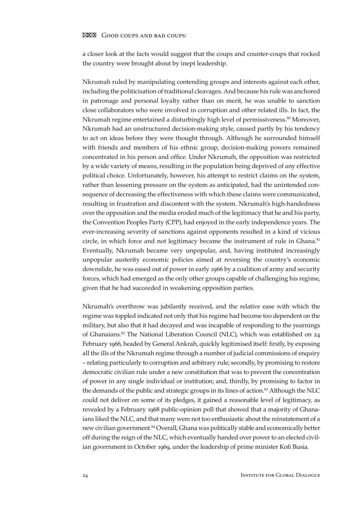a closer look at the facts would suggest that the coups and counter-coups that rocked the country were brought about by inept leadership.

Nkrumah ruled by manipulating contending groups and interests against each other, including the politicisation of traditional cleavages. And because his rule was anchored in patronage and personal loyalty rather than on merit, he was unable to sanction close collaborators who were involved in corruption and other related ills. In fact, the Nkrumah regime entertained a disturbingly high level of permissiveness.<sup>80</sup> Moreover, Nkrumah had an unstructured decision-making style, caused partly by his tendency to act on ideas before they were thought through. Although he surrounded himself with friends and members of his ethnic group, decision-making powers remained concentrated in his person and office. Under Nkrumah, the opposition was restricted by a wide variety of means, resulting in the population being deprived of any effective political choice. Unfortunately, however, his attempt to restrict claims on the system, rather than lessening pressure on the system as anticipated, had the unintended consequence of decreasing the effectiveness with which these claims were communicated, resulting in frustration and discontent with the system. Nkrumah's high-handedness over the opposition and the media eroded much of the legitimacy that he and his party, the Convention Peoples Party (CPP), had enjoyed in the early independence years. The ever-increasing severity of sanctions against opponents resulted in a kind of vicious circle, in which force and not legitimacy became the instrument of rule in Ghana.<sup>81</sup> Eventually, Nkrumah became very unpopular, and, having instituted increasingly unpopular austerity economic policies aimed at reversing the country's economic downslide, he was eased out of power in early 1966 by a coalition of army and security forces, which had emerged as the only other groups capable of challenging his regime, given that he had succeeded in weakening opposition parties.

Nkrumah's overthrow was jubilantly received, and the relative ease with which the regime was toppled indicated not only that his regime had become too dependent on the military, but also that it had decayed and was incapable of responding to the yearnings of Ghanaians.<sup>82</sup> The National Liberation Council (NLC), which was established on  $24$ February 1966, headed by General Ankrah, quickly legitimised itself: firstly, by exposing all the ills of the Nkrumah regime through a number of judicial commissions of enquiry – relating particularly to corruption and arbitrary rule; secondly, by promising to restore democratic civilian rule under a new constitution that was to prevent the concentration of power in any single individual or institution; and, thirdly, by promising to factor in the demands of the public and strategic groups in its lines of action.83 Although the NLC could not deliver on some of its pledges, it gained a reasonable level of legitimacy, as revealed by a February 1968 public-opinion poll that showed that a majority of Ghanaians liked the NLC, and that many were not too enthusiastic about the reinstatement of a new civilian government.84 Overall, Ghana was politically stable and economically better off during the reign of the NLC, which eventually handed over power to an elected civilian government in October 1969, under the leadership of prime minister Kofi Busia.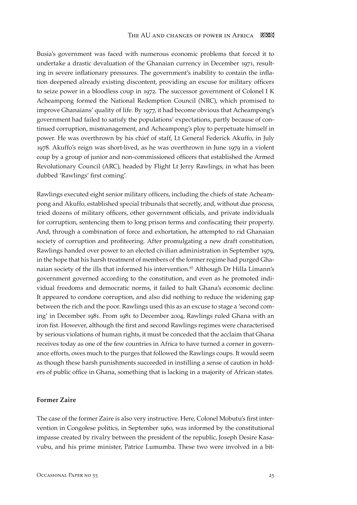Busia's government was faced with numerous economic problems that forced it to undertake a drastic devaluation of the Ghanaian currency in December 1971, resulting in severe inflationary pressures. The government's inability to contain the inflation deepened already existing discontent, providing an excuse for military officers to seize power in a bloodless coup in 1972. The successor government of Colonel I K Acheampong formed the National Redemption Council (NRC), which promised to improve Ghanaians' quality of life. By 1977, it had become obvious that Acheampong's government had failed to satisfy the populations' expectations, partly because of continued corruption, mismanagement, and Acheampong's ploy to perpetuate himself in power. He was overthrown by his chief of staff, Lt General Federick Akuffo, in July 1978. Akuffo's reign was short-lived, as he was overthrown in June 1979 in a violent coup by a group of junior and non-commissioned officers that established the Armed Revolutionary Council (ARC), headed by Flight Lt Jerry Rawlings, in what has been dubbed 'Rawlings' first coming'.

Rawlings executed eight senior military officers, including the chiefs of state Acheampong and Akuffo, established special tribunals that secretly, and, without due process, tried dozens of military officers, other government officials, and private individuals for corruption, sentencing them to long prison terms and confiscating their property. And, through a combination of force and exhortation, he attempted to rid Ghanaian society of corruption and profiteering. After promulgating a new draft constitution, Rawlings handed over power to an elected civilian administration in September 1979, in the hope that his harsh treatment of members of the former regime had purged Ghanaian society of the ills that informed his intervention.<sup>85</sup> Although Dr Hilla Limann's government governed according to the constitution, and even as he promoted individual freedoms and democratic norms, it failed to halt Ghana's economic decline. It appeared to condone corruption, and also did nothing to reduce the widening gap between the rich and the poor. Rawlings used this as an excuse to stage a 'second coming' in December 1981. From 1981 to December 2004, Rawlings ruled Ghana with an iron fist. However, although the first and second Rawlings regimes were characterised by serious violations of human rights, it must be conceded that the acclaim that Ghana receives today as one of the few countries in Africa to have turned a corner in governance efforts, owes much to the purges that followed the Rawlings coups. It would seem as though these harsh punishments succeeded in instilling a sense of caution in holders of public office in Ghana, something that is lacking in a majority of African states.

## **Former Zaire**

The case of the former Zaire is also very instructive. Here, Colonel Mobutu's first intervention in Congolese politics, in September 1960, was informed by the constitutional impasse created by rivalry between the president of the republic, Joseph Desire Kasavubu, and his prime minister, Patrice Lumumba. These two were involved in a bit-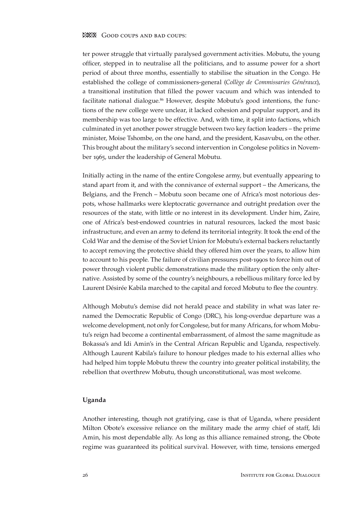ter power struggle that virtually paralysed government activities. Mobutu, the young officer, stepped in to neutralise all the politicians, and to assume power for a short period of about three months, essentially to stabilise the situation in the Congo. He established the college of commissioners-general (*Collège de Commissaries Généraux*), a transitional institution that filled the power vacuum and which was intended to facilitate national dialogue.86 However, despite Mobutu's good intentions, the functions of the new college were unclear, it lacked cohesion and popular support, and its membership was too large to be effective. And, with time, it split into factions, which culminated in yet another power struggle between two key faction leaders – the prime minister, Moise Tshombe, on the one hand, and the president, Kasavubu, on the other. This brought about the military's second intervention in Congolese politics in November 1965, under the leadership of General Mobutu.

Initially acting in the name of the entire Congolese army, but eventually appearing to stand apart from it, and with the connivance of external support – the Americans, the Belgians, and the French – Mobutu soon became one of Africa's most notorious despots, whose hallmarks were kleptocratic governance and outright predation over the resources of the state, with little or no interest in its development. Under him, Zaire, one of Africa's best-endowed countries in natural resources, lacked the most basic infrastructure, and even an army to defend its territorial integrity. It took the end of the Cold War and the demise of the Soviet Union for Mobutu's external backers reluctantly to accept removing the protective shield they offered him over the years, to allow him to account to his people. The failure of civilian pressures post-1990s to force him out of power through violent public demonstrations made the military option the only alternative. Assisted by some of the country's neighbours, a rebellious military force led by Laurent Désirée Kabila marched to the capital and forced Mobutu to flee the country.

Although Mobutu's demise did not herald peace and stability in what was later renamed the Democratic Republic of Congo (DRC), his long-overdue departure was a welcome development, not only for Congolese, but for many Africans, for whom Mobutu's reign had become a continental embarrassment, of almost the same magnitude as Bokassa's and Idi Amin's in the Central African Republic and Uganda, respectively. Although Laurent Kabila's failure to honour pledges made to his external allies who had helped him topple Mobutu threw the country into greater political instability, the rebellion that overthrew Mobutu, though unconstitutional, was most welcome.

## **Uganda**

Another interesting, though not gratifying, case is that of Uganda, where president Milton Obote's excessive reliance on the military made the army chief of staff, Idi Amin, his most dependable ally. As long as this alliance remained strong, the Obote regime was guaranteed its political survival. However, with time, tensions emerged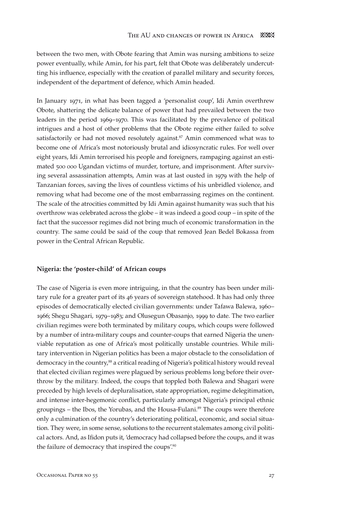between the two men, with Obote fearing that Amin was nursing ambitions to seize power eventually, while Amin, for his part, felt that Obote was deliberately undercutting his influence, especially with the creation of parallel military and security forces, independent of the department of defence, which Amin headed.

In January 1971, in what has been tagged a 'personalist coup', Idi Amin overthrew Obote, shattering the delicate balance of power that had prevailed between the two leaders in the period 1969–1970. This was facilitated by the prevalence of political intrigues and a host of other problems that the Obote regime either failed to solve satisfactorily or had not moved resolutely against. $87$  Amin commenced what was to become one of Africa's most notoriously brutal and idiosyncratic rules. For well over eight years, Idi Amin terrorised his people and foreigners, rampaging against an estimated 500 000 Ugandan victims of murder, torture, and imprisonment. After surviving several assassination attempts, Amin was at last ousted in 1979 with the help of Tanzanian forces, saving the lives of countless victims of his unbridled violence, and removing what had become one of the most embarrassing regimes on the continent. The scale of the atrocities committed by Idi Amin against humanity was such that his overthrow was celebrated across the globe – it was indeed a good coup – in spite of the fact that the successor regimes did not bring much of economic transformation in the country. The same could be said of the coup that removed Jean Bedel Bokassa from power in the Central African Republic.

## **Nigeria: the 'poster-child' of African coups**

The case of Nigeria is even more intriguing, in that the country has been under military rule for a greater part of its 46 years of sovereign statehood. It has had only three episodes of democratically elected civilian governments: under Tafawa Balewa, 1960– 1966; Shegu Shagari, 1979–1983; and Olusegun Obasanjo, 1999 to date. The two earlier civilian regimes were both terminated by military coups, which coups were followed by a number of intra-military coups and counter-coups that earned Nigeria the unenviable reputation as one of Africa's most politically unstable countries. While military intervention in Nigerian politics has been a major obstacle to the consolidation of democracy in the country,<sup>88</sup> a critical reading of Nigeria's political history would reveal that elected civilian regimes were plagued by serious problems long before their overthrow by the military. Indeed, the coups that toppled both Balewa and Shagari were preceded by high levels of depluralisation, state appropriation, regime delegitimation, and intense inter-hegemonic conflict, particularly amongst Nigeria's principal ethnic groupings – the Ibos, the Yorubas, and the Housa-Fulani.<sup>89</sup> The coups were therefore only a culmination of the country's deteriorating political, economic, and social situation. They were, in some sense, solutions to the recurrent stalemates among civil political actors. And, as Ifidon puts it, 'democracy had collapsed before the coups, and it was the failure of democracy that inspired the coups'.90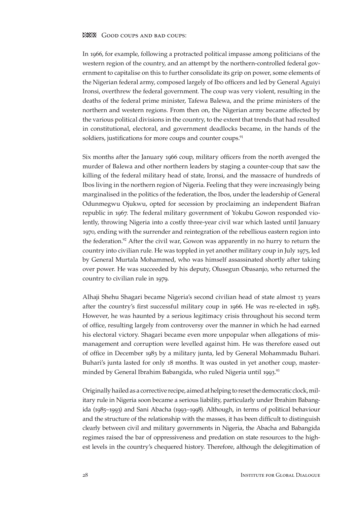In 1966, for example, following a protracted political impasse among politicians of the western region of the country, and an attempt by the northern-controlled federal government to capitalise on this to further consolidate its grip on power, some elements of the Nigerian federal army, composed largely of Ibo officers and led by General Aguiyi Ironsi, overthrew the federal government. The coup was very violent, resulting in the deaths of the federal prime minister, Tafewa Balewa, and the prime ministers of the northern and western regions. From then on, the Nigerian army became affected by the various political divisions in the country, to the extent that trends that had resulted in constitutional, electoral, and government deadlocks became, in the hands of the soldiers, justifications for more coups and counter coups.<sup>91</sup>

Six months after the January 1966 coup, military officers from the north avenged the murder of Balewa and other northern leaders by staging a counter-coup that saw the killing of the federal military head of state, Ironsi, and the massacre of hundreds of Ibos living in the northern region of Nigeria. Feeling that they were increasingly being marginalised in the politics of the federation, the Ibos, under the leadership of General Odunmegwu Ojukwu, opted for secession by proclaiming an independent Biafran republic in 1967. The federal military government of Yokubu Gowon responded violently, throwing Nigeria into a costly three-year civil war which lasted until January 1970, ending with the surrender and reintegration of the rebellious eastern region into the federation.<sup>92</sup> After the civil war, Gowon was apparently in no hurry to return the country into civilian rule. He was toppled in yet another military coup in July 1975, led by General Murtala Mohammed, who was himself assassinated shortly after taking over power. He was succeeded by his deputy, Olusegun Obasanjo, who returned the country to civilian rule in 1979.

Alhaji Shehu Shagari became Nigeria's second civilian head of state almost 13 years after the country's first successful military coup in 1966. He was re-elected in 1983. However, he was haunted by a serious legitimacy crisis throughout his second term of office, resulting largely from controversy over the manner in which he had earned his electoral victory. Shagari became even more unpopular when allegations of mismanagement and corruption were levelled against him. He was therefore eased out of office in December 1983 by a military junta, led by General Mohammadu Buhari. Buhari's junta lasted for only 18 months. It was ousted in yet another coup, masterminded by General Ibrahim Babangida, who ruled Nigeria until 1993.<sup>93</sup>

Originally hailed as a corrective recipe, aimed at helping to reset the democratic clock, military rule in Nigeria soon became a serious liability, particularly under Ibrahim Babangida (1985–1993) and Sani Abacha (1993–1998). Although, in terms of political behaviour and the structure of the relationship with the masses, it has been difficult to distinguish clearly between civil and military governments in Nigeria, the Abacha and Babangida regimes raised the bar of oppressiveness and predation on state resources to the highest levels in the country's chequered history. Therefore, although the delegitimation of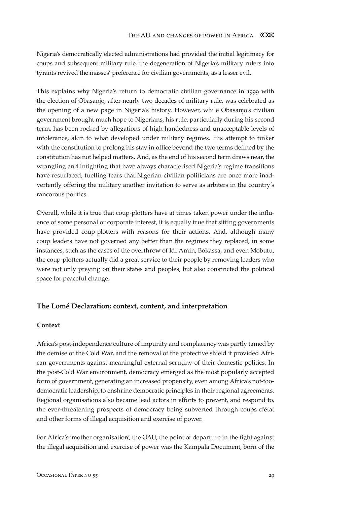Nigeria's democratically elected administrations had provided the initial legitimacy for coups and subsequent military rule, the degeneration of Nigeria's military rulers into tyrants revived the masses' preference for civilian governments, as a lesser evil.

This explains why Nigeria's return to democratic civilian governance in 1999 with the election of Obasanjo, after nearly two decades of military rule, was celebrated as the opening of a new page in Nigeria's history. However, while Obasanjo's civilian government brought much hope to Nigerians, his rule, particularly during his second term, has been rocked by allegations of high-handedness and unacceptable levels of intolerance, akin to what developed under military regimes. His attempt to tinker with the constitution to prolong his stay in office beyond the two terms defined by the constitution has not helped matters. And, as the end of his second term draws near, the wrangling and infighting that have always characterised Nigeria's regime transitions have resurfaced, fuelling fears that Nigerian civilian politicians are once more inadvertently offering the military another invitation to serve as arbiters in the country's rancorous politics.

Overall, while it is true that coup-plotters have at times taken power under the influence of some personal or corporate interest, it is equally true that sitting governments have provided coup-plotters with reasons for their actions. And, although many coup leaders have not governed any better than the regimes they replaced, in some instances, such as the cases of the overthrow of Idi Amin, Bokassa, and even Mobutu, the coup-plotters actually did a great service to their people by removing leaders who were not only preying on their states and peoples, but also constricted the political space for peaceful change.

## **The Lomé Declaration: context, content, and interpretation**

## **Context**

Africa's post-independence culture of impunity and complacency was partly tamed by the demise of the Cold War, and the removal of the protective shield it provided African governments against meaningful external scrutiny of their domestic politics. In the post-Cold War environment, democracy emerged as the most popularly accepted form of government, generating an increased propensity, even among Africa's not-toodemocratic leadership, to enshrine democratic principles in their regional agreements. Regional organisations also became lead actors in efforts to prevent, and respond to, the ever-threatening prospects of democracy being subverted through coups d'état and other forms of illegal acquisition and exercise of power.

For Africa's 'mother organisation', the OAU, the point of departure in the fight against the illegal acquisition and exercise of power was the Kampala Document, born of the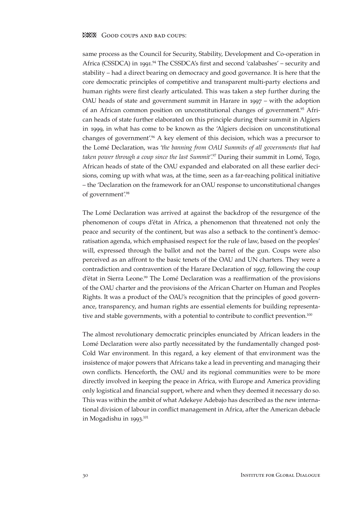same process as the Council for Security, Stability, Development and Co-operation in Africa (CSSDCA) in 1991.94 The CSSDCA's first and second 'calabashes' – security and stability – had a direct bearing on democracy and good governance. It is here that the core democratic principles of competitive and transparent multi-party elections and human rights were first clearly articulated. This was taken a step further during the OAU heads of state and government summit in Harare in 1997 – with the adoption of an African common position on unconstitutional changes of government.<sup>95</sup> African heads of state further elaborated on this principle during their summit in Algiers in 1999, in what has come to be known as the 'Algiers decision on unconstitutional changes of government'.<sup>96</sup> A key element of this decision, which was a precursor to the Lomé Declaration, was '*the banning from OAU Summits of all governments that had taken power through a coup since the last Summit*'.97 During their summit in Lomé, Togo, African heads of state of the OAU expanded and elaborated on all these earlier decisions, coming up with what was, at the time, seen as a far-reaching political initiative – the 'Declaration on the framework for an OAU response to unconstitutional changes of government'.98

The Lomé Declaration was arrived at against the backdrop of the resurgence of the phenomenon of coups d'état in Africa, a phenomenon that threatened not only the peace and security of the continent, but was also a setback to the continent's democratisation agenda, which emphasised respect for the rule of law, based on the peoples' will, expressed through the ballot and not the barrel of the gun. Coups were also perceived as an affront to the basic tenets of the OAU and UN charters. They were a contradiction and contravention of the Harare Declaration of 1997, following the coup d'état in Sierra Leone.<sup>99</sup> The Lomé Declaration was a reaffirmation of the provisions of the OAU charter and the provisions of the African Charter on Human and Peoples Rights. It was a product of the OAU's recognition that the principles of good governance, transparency, and human rights are essential elements for building representative and stable governments, with a potential to contribute to conflict prevention.<sup>100</sup>

The almost revolutionary democratic principles enunciated by African leaders in the Lomé Declaration were also partly necessitated by the fundamentally changed post-Cold War environment. In this regard, a key element of that environment was the insistence of major powers that Africans take a lead in preventing and managing their own conflicts. Henceforth, the OAU and its regional communities were to be more directly involved in keeping the peace in Africa, with Europe and America providing only logistical and financial support, where and when they deemed it necessary do so. This was within the ambit of what Adekeye Adebajo has described as the new international division of labour in conflict management in Africa, after the American debacle in Mogadishu in 1993.<sup>101</sup>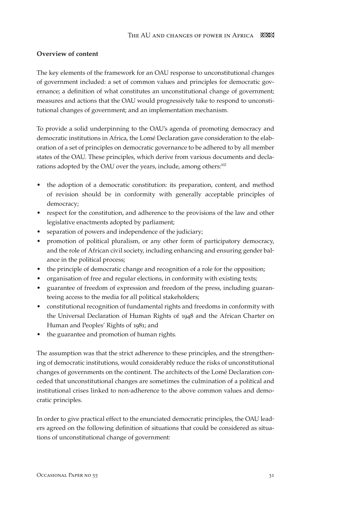## **Overview of content**

The key elements of the framework for an OAU response to unconstitutional changes of government included: a set of common values and principles for democratic governance; a definition of what constitutes an unconstitutional change of government; measures and actions that the OAU would progressively take to respond to unconstitutional changes of government; and an implementation mechanism.

To provide a solid underpinning to the OAU's agenda of promoting democracy and democratic institutions in Africa, the Lomé Declaration gave consideration to the elaboration of a set of principles on democratic governance to be adhered to by all member states of the OAU. These principles, which derive from various documents and declarations adopted by the OAU over the years, include, among others:<sup>102</sup>

- the adoption of a democratic constitution: its preparation, content, and method of revision should be in conformity with generally acceptable principles of democracy; •
- respect for the constitution, and adherence to the provisions of the law and other legislative enactments adopted by parliament;
- separation of powers and independence of the judiciary; •
- promotion of political pluralism, or any other form of participatory democracy, and the role of African civil society, including enhancing and ensuring gender balance in the political process;
- the principle of democratic change and recognition of a role for the opposition; •
- organisation of free and regular elections, in conformity with existing texts; •
- guarantee of freedom of expression and freedom of the press, including guaranteeing access to the media for all political stakeholders; •
- constitutional recognition of fundamental rights and freedoms in conformity with the Universal Declaration of Human Rights of 1948 and the African Charter on Human and Peoples' Rights of 1981; and •
- the guarantee and promotion of human rights. •

The assumption was that the strict adherence to these principles, and the strengthening of democratic institutions, would considerably reduce the risks of unconstitutional changes of governments on the continent. The architects of the Lomé Declaration conceded that unconstitutional changes are sometimes the culmination of a political and institutional crises linked to non-adherence to the above common values and democratic principles.

In order to give practical effect to the enunciated democratic principles, the OAU leaders agreed on the following definition of situations that could be considered as situations of unconstitutional change of government: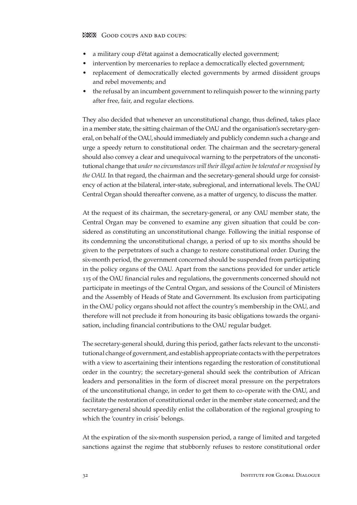- a military coup d'état against a democratically elected government; •
- intervention by mercenaries to replace a democratically elected government; •
- replacement of democratically elected governments by armed dissident groups and rebel movements; and
- the refusal by an incumbent government to relinquish power to the winning party after free, fair, and regular elections.

They also decided that whenever an unconstitutional change, thus defined, takes place in a member state, the sitting chairman of the OAU and the organisation's secretary-general, on behalf of the OAU, should immediately and publicly condemn such a change and urge a speedy return to constitutional order. The chairman and the secretary-general should also convey a clear and unequivocal warning to the perpetrators of the unconstitutional change that *under no circumstances will their illegal action be tolerated or recognised by the OAU*. In that regard, the chairman and the secretary-general should urge for consistency of action at the bilateral, inter-state, subregional, and international levels. The OAU Central Organ should thereafter convene, as a matter of urgency, to discuss the matter.

At the request of its chairman, the secretary-general, or any OAU member state, the Central Organ may be convened to examine any given situation that could be considered as constituting an unconstitutional change. Following the initial response of its condemning the unconstitutional change, a period of up to six months should be given to the perpetrators of such a change to restore constitutional order. During the six-month period, the government concerned should be suspended from participating in the policy organs of the OAU. Apart from the sanctions provided for under article 115 of the OAU financial rules and regulations, the governments concerned should not participate in meetings of the Central Organ, and sessions of the Council of Ministers and the Assembly of Heads of State and Government. Its exclusion from participating in the OAU policy organs should not affect the country's membership in the OAU, and therefore will not preclude it from honouring its basic obligations towards the organisation, including financial contributions to the OAU regular budget.

The secretary-general should, during this period, gather facts relevant to the unconstitutional change of government, and establish appropriate contacts with the perpetrators with a view to ascertaining their intentions regarding the restoration of constitutional order in the country; the secretary-general should seek the contribution of African leaders and personalities in the form of discreet moral pressure on the perpetrators of the unconstitutional change, in order to get them to co-operate with the OAU, and facilitate the restoration of constitutional order in the member state concerned; and the secretary-general should speedily enlist the collaboration of the regional grouping to which the 'country in crisis' belongs.

At the expiration of the six-month suspension period, a range of limited and targeted sanctions against the regime that stubbornly refuses to restore constitutional order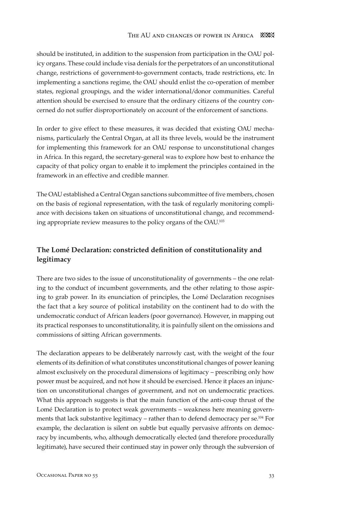should be instituted, in addition to the suspension from participation in the OAU policy organs. These could include visa denials for the perpetrators of an unconstitutional change, restrictions of government-to-government contacts, trade restrictions, etc. In implementing a sanctions regime, the OAU should enlist the co-operation of member states, regional groupings, and the wider international/donor communities. Careful attention should be exercised to ensure that the ordinary citizens of the country concerned do not suffer disproportionately on account of the enforcement of sanctions.

In order to give effect to these measures, it was decided that existing OAU mechanisms, particularly the Central Organ, at all its three levels, would be the instrument for implementing this framework for an OAU response to unconstitutional changes in Africa. In this regard, the secretary-general was to explore how best to enhance the capacity of that policy organ to enable it to implement the principles contained in the framework in an effective and credible manner.

The OAU established a Central Organ sanctions subcommittee of five members, chosen on the basis of regional representation, with the task of regularly monitoring compliance with decisions taken on situations of unconstitutional change, and recommending appropriate review measures to the policy organs of the OAU.103

## **The Lomé Declaration: constricted definition of constitutionality and legitimacy**

There are two sides to the issue of unconstitutionality of governments – the one relating to the conduct of incumbent governments, and the other relating to those aspiring to grab power. In its enunciation of principles, the Lomé Declaration recognises the fact that a key source of political instability on the continent had to do with the undemocratic conduct of African leaders (poor governance). However, in mapping out its practical responses to unconstitutionality, it is painfully silent on the omissions and commissions of sitting African governments.

The declaration appears to be deliberately narrowly cast, with the weight of the four elements of its definition of what constitutes unconstitutional changes of power leaning almost exclusively on the procedural dimensions of legitimacy – prescribing only how power must be acquired, and not how it should be exercised. Hence it places an injunction on unconstitutional changes of government, and not on undemocratic practices. What this approach suggests is that the main function of the anti-coup thrust of the Lomé Declaration is to protect weak governments – weakness here meaning governments that lack substantive legitimacy – rather than to defend democracy per se.<sup>104</sup> For example, the declaration is silent on subtle but equally pervasive affronts on democracy by incumbents, who, although democratically elected (and therefore procedurally legitimate), have secured their continued stay in power only through the subversion of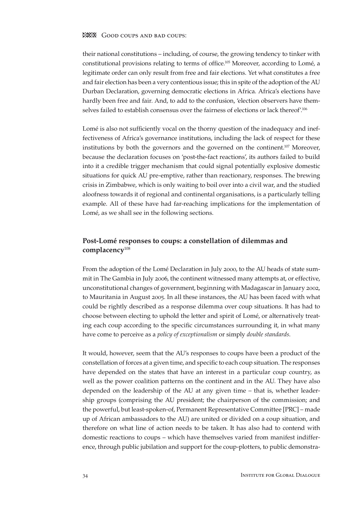their national constitutions – including, of course, the growing tendency to tinker with constitutional provisions relating to terms of office.105 Moreover, according to Lomé, a legitimate order can only result from free and fair elections. Yet what constitutes a free and fair election has been a very contentious issue; this in spite of the adoption of the AU Durban Declaration, governing democratic elections in Africa. Africa's elections have hardly been free and fair. And, to add to the confusion, 'election observers have themselves failed to establish consensus over the fairness of elections or lack thereof'.<sup>106</sup>

Lomé is also not sufficiently vocal on the thorny question of the inadequacy and ineffectiveness of Africa's governance institutions, including the lack of respect for these institutions by both the governors and the governed on the continent.107 Moreover, because the declaration focuses on 'post-the-fact reactions', its authors failed to build into it a credible trigger mechanism that could signal potentially explosive domestic situations for quick AU pre-emptive, rather than reactionary, responses. The brewing crisis in Zimbabwe, which is only waiting to boil over into a civil war, and the studied aloofness towards it of regional and continental organisations, is a particularly telling example. All of these have had far-reaching implications for the implementation of Lomé, as we shall see in the following sections.

## **Post-Lomé responses to coups: a constellation of dilemmas and complacency**<sup>108</sup>

From the adoption of the Lomé Declaration in July 2000, to the AU heads of state summit in The Gambia in July 2006, the continent witnessed many attempts at, or effective, unconstitutional changes of government, beginning with Madagascar in January 2002, to Mauritania in August 2005. In all these instances, the AU has been faced with what could be rightly described as a response dilemma over coup situations. It has had to choose between electing to uphold the letter and spirit of Lomé, or alternatively treating each coup according to the specific circumstances surrounding it, in what many have come to perceive as a *policy of exceptionalism* or simply *double standards*.

It would, however, seem that the AU's responses to coups have been a product of the constellation of forces at a given time, and specific to each coup situation. The responses have depended on the states that have an interest in a particular coup country, as well as the power coalition patterns on the continent and in the AU. They have also depended on the leadership of the AU at any given time – that is, whether leadership groups (comprising the AU president; the chairperson of the commission; and the powerful, but least-spoken-of, Permanent Representative Committee [PRC] – made up of African ambassadors to the AU) are united or divided on a coup situation, and therefore on what line of action needs to be taken. It has also had to contend with domestic reactions to coups – which have themselves varied from manifest indifference, through public jubilation and support for the coup-plotters, to public demonstra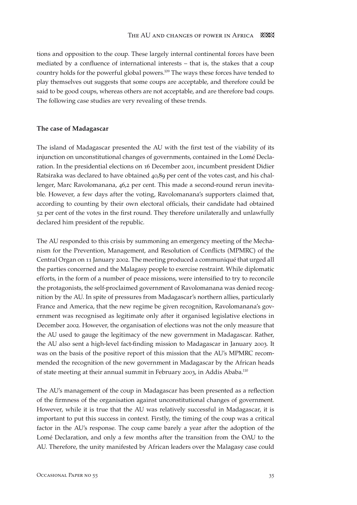tions and opposition to the coup. These largely internal continental forces have been mediated by a confluence of international interests – that is, the stakes that a coup country holds for the powerful global powers.<sup>109</sup> The ways these forces have tended to play themselves out suggests that some coups are acceptable, and therefore could be said to be good coups, whereas others are not acceptable, and are therefore bad coups. The following case studies are very revealing of these trends.

## **The case of Madagascar**

The island of Madagascar presented the AU with the first test of the viability of its injunction on unconstitutional changes of governments, contained in the Lomé Declaration. In the presidential elections on 16 December 2001, incumbent president Didier Ratsiraka was declared to have obtained 40,89 per cent of the votes cast, and his challenger, Marc Ravolomanana, 46,2 per cent. This made a second-round rerun inevitable. However, a few days after the voting, Ravolomanana's supporters claimed that, according to counting by their own electoral officials, their candidate had obtained 52 per cent of the votes in the first round. They therefore unilaterally and unlawfully declared him president of the republic.

The AU responded to this crisis by summoning an emergency meeting of the Mechanism for the Prevention, Management, and Resolution of Conflicts (MPMRC) of the Central Organ on 11 January 2002. The meeting produced a communiqué that urged all the parties concerned and the Malagasy people to exercise restraint. While diplomatic efforts, in the form of a number of peace missions, were intensified to try to reconcile the protagonists, the self-proclaimed government of Ravolomanana was denied recognition by the AU. In spite of pressures from Madagascar's northern allies, particularly France and America, that the new regime be given recognition, Ravolomanana's government was recognised as legitimate only after it organised legislative elections in December 2002. However, the organisation of elections was not the only measure that the AU used to gauge the legitimacy of the new government in Madagascar. Rather, the AU also sent a high-level fact-finding mission to Madagascar in January 2003. It was on the basis of the positive report of this mission that the AU's MPMRC recommended the recognition of the new government in Madagascar by the African heads of state meeting at their annual summit in February 2003, in Addis Ababa.<sup>110</sup>

The AU's management of the coup in Madagascar has been presented as a reflection of the firmness of the organisation against unconstitutional changes of government. However, while it is true that the AU was relatively successful in Madagascar, it is important to put this success in context. Firstly, the timing of the coup was a critical factor in the AU's response. The coup came barely a year after the adoption of the Lomé Declaration, and only a few months after the transition from the OAU to the AU. Therefore, the unity manifested by African leaders over the Malagasy case could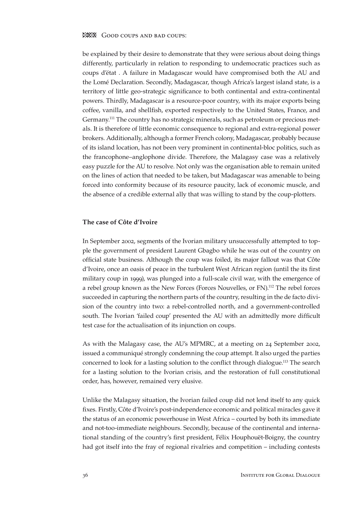## **23 Good coups and bad coups:**

be explained by their desire to demonstrate that they were serious about doing things differently, particularly in relation to responding to undemocratic practices such as coups d'état . A failure in Madagascar would have compromised both the AU and the Lomé Declaration. Secondly, Madagascar, though Africa's largest island state, is a territory of little geo-strategic significance to both continental and extra-continental powers. Thirdly, Madagascar is a resource-poor country, with its major exports being coffee, vanilla, and shellfish, exported respectively to the United States, France, and Germany.111 The country has no strategic minerals, such as petroleum or precious metals. It is therefore of little economic consequence to regional and extra-regional power brokers. Additionally, although a former French colony, Madagascar, probably because of its island location, has not been very prominent in continental-bloc politics, such as the francophone–anglophone divide. Therefore, the Malagasy case was a relatively easy puzzle for the AU to resolve. Not only was the organisation able to remain united on the lines of action that needed to be taken, but Madagascar was amenable to being forced into conformity because of its resource paucity, lack of economic muscle, and the absence of a credible external ally that was willing to stand by the coup-plotters.

## **The case of Côte d'Ivoire**

In September 2002, segments of the Ivorian military unsuccessfully attempted to topple the government of president Laurent Gbagbo while he was out of the country on official state business. Although the coup was foiled, its major fallout was that Côte d'Ivoire, once an oasis of peace in the turbulent West African region (until the its first military coup in 1999), was plunged into a full-scale civil war, with the emergence of a rebel group known as the New Forces (Forces Nouvelles, or FN).112 The rebel forces succeeded in capturing the northern parts of the country, resulting in the de facto division of the country into two: a rebel-controlled north, and a government-controlled south. The Ivorian 'failed coup' presented the AU with an admittedly more difficult test case for the actualisation of its injunction on coups.

As with the Malagasy case, the AU's MPMRC, at a meeting on 24 September 2002, issued a communiqué strongly condemning the coup attempt. It also urged the parties concerned to look for a lasting solution to the conflict through dialogue.113 The search for a lasting solution to the Ivorian crisis, and the restoration of full constitutional order, has, however, remained very elusive.

Unlike the Malagasy situation, the Ivorian failed coup did not lend itself to any quick fixes. Firstly, Côte d'Ivoire's post-independence economic and political miracles gave it the status of an economic powerhouse in West Africa – courted by both its immediate and not-too-immediate neighbours. Secondly, because of the continental and international standing of the country's first president, Félix Houphouët-Boigny, the country had got itself into the fray of regional rivalries and competition – including contests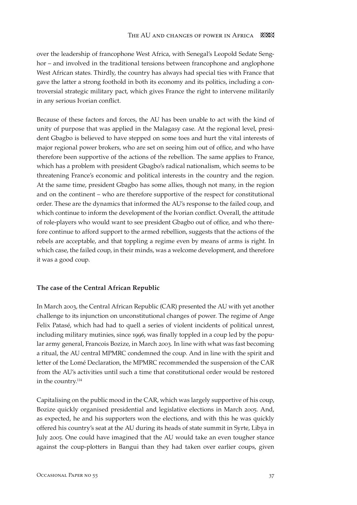over the leadership of francophone West Africa, with Senegal's Leopold Sedate Senghor – and involved in the traditional tensions between francophone and anglophone West African states. Thirdly, the country has always had special ties with France that gave the latter a strong foothold in both its economy and its politics, including a controversial strategic military pact, which gives France the right to intervene militarily in any serious Ivorian conflict.

Because of these factors and forces, the AU has been unable to act with the kind of unity of purpose that was applied in the Malagasy case. At the regional level, president Gbagbo is believed to have stepped on some toes and hurt the vital interests of major regional power brokers, who are set on seeing him out of office, and who have therefore been supportive of the actions of the rebellion. The same applies to France, which has a problem with president Gbagbo's radical nationalism, which seems to be threatening France's economic and political interests in the country and the region. At the same time, president Gbagbo has some allies, though not many, in the region and on the continent – who are therefore supportive of the respect for constitutional order. These are the dynamics that informed the AU's response to the failed coup, and which continue to inform the development of the Ivorian conflict. Overall, the attitude of role-players who would want to see president Gbagbo out of office, and who therefore continue to afford support to the armed rebellion, suggests that the actions of the rebels are acceptable, and that toppling a regime even by means of arms is right. In which case, the failed coup, in their minds, was a welcome development, and therefore it was a good coup.

## **The case of the Central African Republic**

In March 2003, the Central African Republic (CAR) presented the AU with yet another challenge to its injunction on unconstitutional changes of power. The regime of Ange Felix Patasé, which had had to quell a series of violent incidents of political unrest, including military mutinies, since 1996, was finally toppled in a coup led by the popular army general, Francois Bozize, in March 2003. In line with what was fast becoming a ritual, the AU central MPMRC condemned the coup. And in line with the spirit and letter of the Lomé Declaration, the MPMRC recommended the suspension of the CAR from the AU's activities until such a time that constitutional order would be restored in the country.<sup>114</sup>

Capitalising on the public mood in the CAR, which was largely supportive of his coup, Bozize quickly organised presidential and legislative elections in March 2005. And, as expected, he and his supporters won the elections, and with this he was quickly offered his country's seat at the AU during its heads of state summit in Syrte, Libya in July 2005. One could have imagined that the AU would take an even tougher stance against the coup-plotters in Bangui than they had taken over earlier coups, given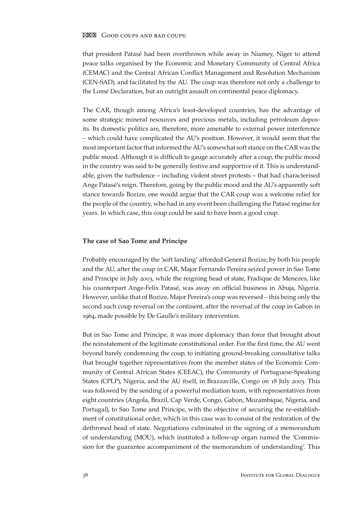## **23 Good coups and bad coups:**

that president Patasé had been overthrown while away in Niamey, Niger to attend peace talks organised by the Economic and Monetary Community of Central Africa (CEMAC) and the Central African Conflict Management and Resolution Mechanism (CEN-SAD), and facilitated by the AU. The coup was therefore not only a challenge to the Lomé Declaration, but an outright assault on continental peace diplomacy.

The CAR, though among Africa's least-developed countries, has the advantage of some strategic mineral resources and precious metals, including petroleum deposits. Its domestic politics are, therefore, more amenable to external power interference – which could have complicated the AU's position. However, it would seem that the most important factor that informed the AU's somewhat soft stance on the CAR was the public mood. Although it is difficult to gauge accurately after a coup, the public mood in the country was said to be generally festive and supportive of it. This is understandable, given the turbulence – including violent street protests – that had characterised Ange Patasé's reign. Therefore, going by the public mood and the AU's apparently soft stance towards Bozize, one would argue that the CAR coup was a welcome relief for the people of the country, who had in any event been challenging the Patasé regime for years. In which case, this coup could be said to have been a good coup.

## **The case of Sao Tome and Principe**

Probably encouraged by the 'soft landing' afforded General Bozize, by both his people and the AU, after the coup in CAR, Major Fernando Pereira seized power in Sao Tome and Principe in July 2003, while the reigning head of state, Fradique de Menezes, like his counterpart Ange-Felix Patasé, was away on official business in Abuja, Nigeria. However, unlike that of Bozize, Major Pereira's coup was reversed – this being only the second such coup reversal on the continent, after the reversal of the coup in Gabon in 1964, made possible by De Gaulle's military intervention.

But in Sao Tome and Principe, it was more diplomacy than force that brought about the reinstatement of the legitimate constitutional order. For the first time, the AU went beyond barely condemning the coup, to initiating ground-breaking consultative talks that brought together representatives from the member states of the Economic Community of Central African States (CEEAC), the Community of Portuguese-Speaking States (CPLP), Nigeria, and the AU itself, in Brazzaville, Congo on 18 July 2003. This was followed by the sending of a powerful mediation team, with representatives from eight countries (Angola, Brazil, Cap Verde, Congo, Gabon, Mozambique, Nigeria, and Portugal), to Sao Tome and Principe, with the objective of securing the re-establishment of constitutional order, which in this case was to consist of the restoration of the dethroned head of state. Negotiations culminated in the signing of a memorandum of understanding (MOU), which instituted a follow-up organ named the 'Commission for the guarantee accompaniment of the memorandum of understanding'. This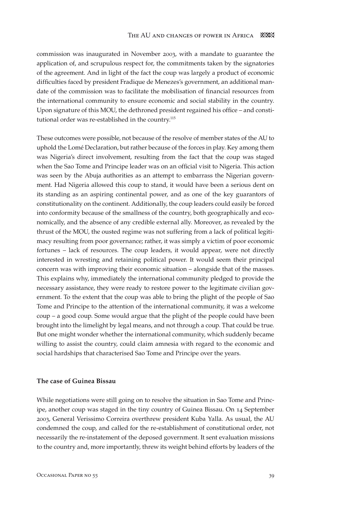commission was inaugurated in November 2003, with a mandate to guarantee the application of, and scrupulous respect for, the commitments taken by the signatories of the agreement. And in light of the fact the coup was largely a product of economic difficulties faced by president Fradique de Menezes's government, an additional mandate of the commission was to facilitate the mobilisation of financial resources from the international community to ensure economic and social stability in the country. Upon signature of this MOU, the dethroned president regained his office – and constitutional order was re-established in the country.<sup>115</sup>

These outcomes were possible, not because of the resolve of member states of the AU to uphold the Lomé Declaration, but rather because of the forces in play. Key among them was Nigeria's direct involvement, resulting from the fact that the coup was staged when the Sao Tome and Principe leader was on an official visit to Nigeria. This action was seen by the Abuja authorities as an attempt to embarrass the Nigerian government. Had Nigeria allowed this coup to stand, it would have been a serious dent on its standing as an aspiring continental power, and as one of the key guarantors of constitutionality on the continent. Additionally, the coup leaders could easily be forced into conformity because of the smallness of the country, both geographically and economically, and the absence of any credible external ally. Moreover, as revealed by the thrust of the MOU, the ousted regime was not suffering from a lack of political legitimacy resulting from poor governance; rather, it was simply a victim of poor economic fortunes – lack of resources. The coup leaders, it would appear, were not directly interested in wresting and retaining political power. It would seem their principal concern was with improving their economic situation – alongside that of the masses. This explains why, immediately the international community pledged to provide the necessary assistance, they were ready to restore power to the legitimate civilian government. To the extent that the coup was able to bring the plight of the people of Sao Tome and Principe to the attention of the international community, it was a welcome coup – a good coup. Some would argue that the plight of the people could have been brought into the limelight by legal means, and not through a coup. That could be true. But one might wonder whether the international community, which suddenly became willing to assist the country, could claim amnesia with regard to the economic and social hardships that characterised Sao Tome and Principe over the years.

## **The case of Guinea Bissau**

While negotiations were still going on to resolve the situation in Sao Tome and Principe, another coup was staged in the tiny country of Guinea Bissau. On 14 September 2003, General Verissimo Correira overthrew president Kuba Yalla. As usual, the AU condemned the coup, and called for the re-establishment of constitutional order, not necessarily the re-instatement of the deposed government. It sent evaluation missions to the country and, more importantly, threw its weight behind efforts by leaders of the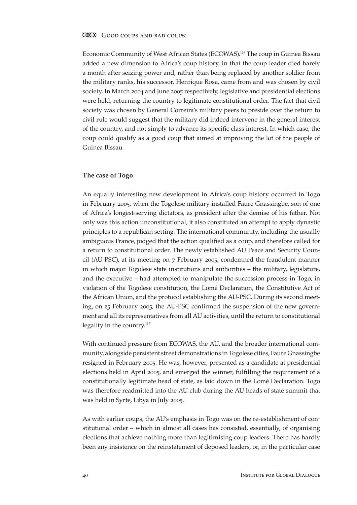## **23 Good coups and bad coups:**

Economic Community of West African States (ECOWAS).116 The coup in Guinea Bissau added a new dimension to Africa's coup history, in that the coup leader died barely a month after seizing power and, rather than being replaced by another soldier from the military ranks, his successor, Henrique Rosa, came from and was chosen by civil society. In March 2004 and June 2005 respectively, legislative and presidential elections were held, returning the country to legitimate constitutional order. The fact that civil society was chosen by General Correira's military peers to preside over the return to civil rule would suggest that the military did indeed intervene in the general interest of the country, and not simply to advance its specific class interest. In which case, the coup could qualify as a good coup that aimed at improving the lot of the people of Guinea Bissau.

## **The case of Togo**

An equally interesting new development in Africa's coup history occurred in Togo in February 2005, when the Togolese military installed Faure Gnassingbe, son of one of Africa's longest-serving dictators, as president after the demise of his father. Not only was this action unconstitutional, it also constituted an attempt to apply dynastic principles to a republican setting. The international community, including the usually ambiguous France, judged that the action qualified as a coup, and therefore called for a return to constitutional order. The newly established AU Peace and Security Council (AU-PSC), at its meeting on 7 February 2005, condemned the fraudulent manner in which major Togolese state institutions and authorities – the military, legislature, and the executive – had attempted to manipulate the succession process in Togo, in violation of the Togolese constitution, the Lomé Declaration, the Constitutive Act of the African Union, and the protocol establishing the AU-PSC. During its second meeting, on 25 February 2005, the AU-PSC confirmed the suspension of the new government and all its representatives from all AU activities, until the return to constitutional legality in the country.<sup>117</sup>

With continued pressure from ECOWAS, the AU, and the broader international community, alongside persistent street demonstrations in Togolese cities, Faure Gnassingbe resigned in February 2005. He was, however, presented as a candidate at presidential elections held in April 2005, and emerged the winner, fulfilling the requirement of a constitutionally legitimate head of state, as laid down in the Lomé Declaration. Togo was therefore readmitted into the AU club during the AU heads of state summit that was held in Syrte, Libya in July 2005.

As with earlier coups, the AU's emphasis in Togo was on the re-establishment of constitutional order – which in almost all cases has consisted, essentially, of organising elections that achieve nothing more than legitimising coup leaders. There has hardly been any insistence on the reinstatement of deposed leaders, or, in the particular case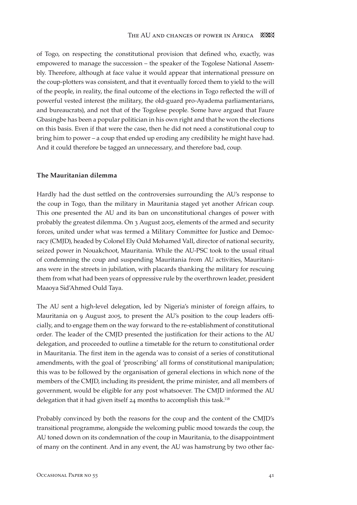of Togo, on respecting the constitutional provision that defined who, exactly, was empowered to manage the succession – the speaker of the Togolese National Assembly. Therefore, although at face value it would appear that international pressure on the coup-plotters was consistent, and that it eventually forced them to yield to the will of the people, in reality, the final outcome of the elections in Togo reflected the will of powerful vested interest (the military, the old-guard pro-Ayadema parliamentarians, and bureaucrats), and not that of the Togolese people. Some have argued that Faure Gbasingbe has been a popular politician in his own right and that he won the elections on this basis. Even if that were the case, then he did not need a constitutional coup to bring him to power – a coup that ended up eroding any credibility he might have had. And it could therefore be tagged an unnecessary, and therefore bad, coup.

## **The Mauritanian dilemma**

Hardly had the dust settled on the controversies surrounding the AU's response to the coup in Togo, than the military in Mauritania staged yet another African coup. This one presented the AU and its ban on unconstitutional changes of power with probably the greatest dilemma. On 3 August 2005, elements of the armed and security forces, united under what was termed a Military Committee for Justice and Democracy (CMJD), headed by Colonel Ely Ould Mohamed Vall, director of national security, seized power in Nouakchoot, Mauritania. While the AU-PSC took to the usual ritual of condemning the coup and suspending Mauritania from AU activities, Mauritanians were in the streets in jubilation, with placards thanking the military for rescuing them from what had been years of oppressive rule by the overthrown leader, president Maaoya Sid'Ahmed Ould Taya.

The AU sent a high-level delegation, led by Nigeria's minister of foreign affairs, to Mauritania on 9 August 2005, to present the AU's position to the coup leaders officially, and to engage them on the way forward to the re-establishment of constitutional order. The leader of the CMJD presented the justification for their actions to the AU delegation, and proceeded to outline a timetable for the return to constitutional order in Mauritania. The first item in the agenda was to consist of a series of constitutional amendments, with the goal of 'proscribing' all forms of constitutional manipulation; this was to be followed by the organisation of general elections in which none of the members of the CMJD, including its president, the prime minister, and all members of government, would be eligible for any post whatsoever. The CMJD informed the AU delegation that it had given itself 24 months to accomplish this task.<sup>118</sup>

Probably convinced by both the reasons for the coup and the content of the CMJD's transitional programme, alongside the welcoming public mood towards the coup, the AU toned down on its condemnation of the coup in Mauritania, to the disappointment of many on the continent. And in any event, the AU was hamstrung by two other fac-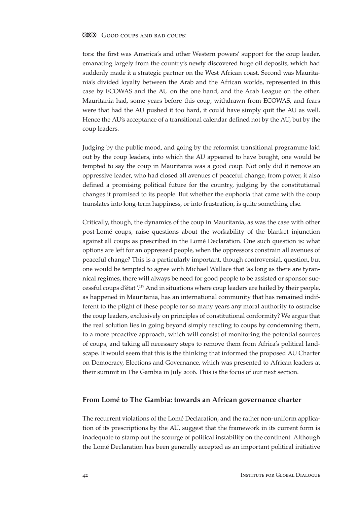## **23 Good coups and bad coups:**

tors: the first was America's and other Western powers' support for the coup leader, emanating largely from the country's newly discovered huge oil deposits, which had suddenly made it a strategic partner on the West African coast. Second was Mauritania's divided loyalty between the Arab and the African worlds, represented in this case by ECOWAS and the AU on the one hand, and the Arab League on the other. Mauritania had, some years before this coup, withdrawn from ECOWAS, and fears were that had the AU pushed it too hard, it could have simply quit the AU as well. Hence the AU's acceptance of a transitional calendar defined not by the AU, but by the coup leaders.

Judging by the public mood, and going by the reformist transitional programme laid out by the coup leaders, into which the AU appeared to have bought, one would be tempted to say the coup in Mauritania was a good coup. Not only did it remove an oppressive leader, who had closed all avenues of peaceful change, from power, it also defined a promising political future for the country, judging by the constitutional changes it promised to its people. But whether the euphoria that came with the coup translates into long-term happiness, or into frustration, is quite something else.

Critically, though, the dynamics of the coup in Mauritania, as was the case with other post-Lomé coups, raise questions about the workability of the blanket injunction against all coups as prescribed in the Lomé Declaration. One such question is: what options are left for an oppressed people, when the oppressors constrain all avenues of peaceful change? This is a particularly important, though controversial, question, but one would be tempted to agree with Michael Wallace that 'as long as there are tyrannical regimes, there will always be need for good people to be assisted or sponsor successful coups d'état '.119 And in situations where coup leaders are hailed by their people, as happened in Mauritania, has an international community that has remained indifferent to the plight of these people for so many years any moral authority to ostracise the coup leaders, exclusively on principles of constitutional conformity? We argue that the real solution lies in going beyond simply reacting to coups by condemning them, to a more proactive approach, which will consist of monitoring the potential sources of coups, and taking all necessary steps to remove them from Africa's political landscape. It would seem that this is the thinking that informed the proposed AU Charter on Democracy, Elections and Governance, which was presented to African leaders at their summit in The Gambia in July 2006. This is the focus of our next section.

## **From Lomé to The Gambia: towards an African governance charter**

The recurrent violations of the Lomé Declaration, and the rather non-uniform application of its prescriptions by the AU, suggest that the framework in its current form is inadequate to stamp out the scourge of political instability on the continent. Although the Lomé Declaration has been generally accepted as an important political initiative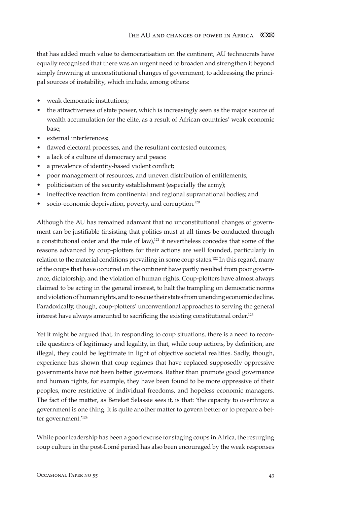that has added much value to democratisation on the continent, AU technocrats have equally recognised that there was an urgent need to broaden and strengthen it beyond simply frowning at unconstitutional changes of government, to addressing the principal sources of instability, which include, among others:

- weak democratic institutions; •
- the attractiveness of state power, which is increasingly seen as the major source of wealth accumulation for the elite, as a result of African countries' weak economic base; •
- external interferences; •
- flawed electoral processes, and the resultant contested outcomes; •
- a lack of a culture of democracy and peace; •
- a prevalence of identity-based violent conflict; •
- poor management of resources, and uneven distribution of entitlements;
- politicisation of the security establishment (especially the army); •
- ineffective reaction from continental and regional supranational bodies; and •
- socio-economic deprivation, poverty, and corruption.<sup>120</sup> •

Although the AU has remained adamant that no unconstitutional changes of government can be justifiable (insisting that politics must at all times be conducted through a constitutional order and the rule of law),<sup>121</sup> it nevertheless concedes that some of the reasons advanced by coup-plotters for their actions are well founded, particularly in relation to the material conditions prevailing in some coup states.<sup>122</sup> In this regard, many of the coups that have occurred on the continent have partly resulted from poor governance, dictatorship, and the violation of human rights. Coup-plotters have almost always claimed to be acting in the general interest, to halt the trampling on democratic norms and violation of human rights, and to rescue their states from unending economic decline. Paradoxically, though, coup-plotters' unconventional approaches to serving the general interest have always amounted to sacrificing the existing constitutional order.<sup>123</sup>

Yet it might be argued that, in responding to coup situations, there is a need to reconcile questions of legitimacy and legality, in that, while coup actions, by definition, are illegal, they could be legitimate in light of objective societal realities. Sadly, though, experience has shown that coup regimes that have replaced supposedly oppressive governments have not been better governors. Rather than promote good governance and human rights, for example, they have been found to be more oppressive of their peoples, more restrictive of individual freedoms, and hopeless economic managers. The fact of the matter, as Bereket Selassie sees it, is that: 'the capacity to overthrow a government is one thing. It is quite another matter to govern better or to prepare a better government.<sup>'124</sup>

While poor leadership has been a good excuse for staging coups in Africa, the resurging coup culture in the post-Lomé period has also been encouraged by the weak responses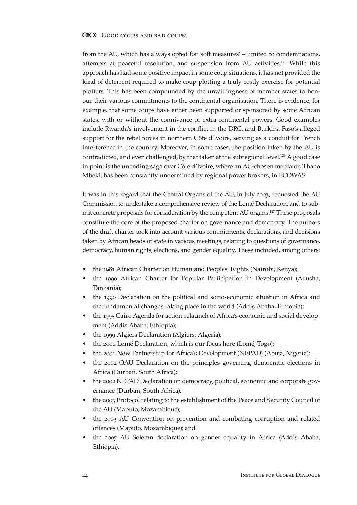## **23 Good coups and bad coups:**

from the AU, which has always opted for 'soft measures' – limited to condemnations, attempts at peaceful resolution, and suspension from AU activities.125 While this approach has had some positive impact in some coup situations, it has not provided the kind of deterrent required to make coup-plotting a truly costly exercise for potential plotters. This has been compounded by the unwillingness of member states to honour their various commitments to the continental organisation. There is evidence, for example, that some coups have either been supported or sponsored by some African states, with or without the connivance of extra-continental powers. Good examples include Rwanda's involvement in the conflict in the DRC, and Burkina Faso's alleged support for the rebel forces in northern Côte d'Ivoire, serving as a conduit for French interference in the country. Moreover, in some cases, the position taken by the AU is contradicted, and even challenged, by that taken at the subregional level.<sup>126</sup> A good case in point is the unending saga over Côte d'Ivoire, where an AU-chosen mediator, Thabo Mbeki, has been constantly undermined by regional power brokers, in ECOWAS.

It was in this regard that the Central Organs of the AU, in July 2003, requested the AU Commission to undertake a comprehensive review of the Lomé Declaration, and to submit concrete proposals for consideration by the competent AU organs.127 These proposals constitute the core of the proposed charter on governance and democracy. The authors of the draft charter took into account various commitments, declarations, and decisions taken by African heads of state in various meetings, relating to questions of governance, democracy, human rights, elections, and gender equality. These included, among others:

- the 1981 African Charter on Human and Peoples' Rights (Nairobi, Kenya); •
- the 1990 African Charter for Popular Participation in Development (Arusha, Tanzania);
- the 1990 Declaration on the political and socio-economic situation in Africa and the fundamental changes taking place in the world (Addis Ababa, Ethiopia);
- the 1995 Cairo Agenda for action-relaunch of Africa's economic and social development (Addis Ababa, Ethiopia);
- the 1999 Algiers Declaration (Algiers, Algeria);
- the 2000 Lomé Declaration, which is our focus here (Lomé, Togo);
- the 2001 New Partnership for Africa's Development (NEPAD) (Abuja, Nigeria);
- the 2002 OAU Declaration on the principles governing democratic elections in Africa (Durban, South Africa); •
- the 2002 NEPAD Declaration on democracy, political, economic and corporate governance (Durban, South Africa);
- the 2003 Protocol relating to the establishment of the Peace and Security Council of the AU (Maputo, Mozambique);
- the 2003 AU Convention on prevention and combating corruption and related offences (Maputo, Mozambique); and
- the 2005 AU Solemn declaration on gender equality in Africa (Addis Ababa, Ethiopia). •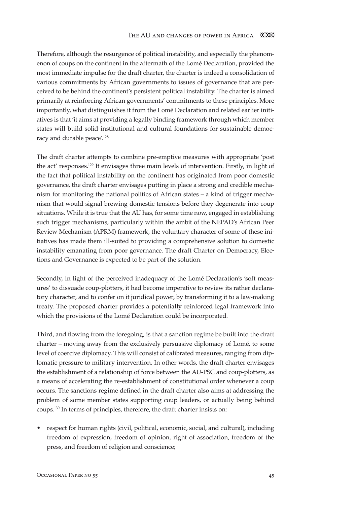Therefore, although the resurgence of political instability, and especially the phenomenon of coups on the continent in the aftermath of the Lomé Declaration, provided the most immediate impulse for the draft charter, the charter is indeed a consolidation of various commitments by African governments to issues of governance that are perceived to be behind the continent's persistent political instability. The charter is aimed primarily at reinforcing African governments' commitments to these principles. More importantly, what distinguishes it from the Lomé Declaration and related earlier initiatives is that 'it aims at providing a legally binding framework through which member states will build solid institutional and cultural foundations for sustainable democracy and durable peace'.<sup>128</sup>

The draft charter attempts to combine pre-emptive measures with appropriate 'post the act' responses.<sup>129</sup> It envisages three main levels of intervention. Firstly, in light of the fact that political instability on the continent has originated from poor domestic governance, the draft charter envisages putting in place a strong and credible mechanism for monitoring the national politics of African states – a kind of trigger mechanism that would signal brewing domestic tensions before they degenerate into coup situations. While it is true that the AU has, for some time now, engaged in establishing such trigger mechanisms, particularly within the ambit of the NEPAD's African Peer Review Mechanism (APRM) framework, the voluntary character of some of these initiatives has made them ill-suited to providing a comprehensive solution to domestic instability emanating from poor governance. The draft Charter on Democracy, Elections and Governance is expected to be part of the solution.

Secondly, in light of the perceived inadequacy of the Lomé Declaration's 'soft measures' to dissuade coup-plotters, it had become imperative to review its rather declaratory character, and to confer on it juridical power, by transforming it to a law-making treaty. The proposed charter provides a potentially reinforced legal framework into which the provisions of the Lomé Declaration could be incorporated.

Third, and flowing from the foregoing, is that a sanction regime be built into the draft charter – moving away from the exclusively persuasive diplomacy of Lomé, to some level of coercive diplomacy. This will consist of calibrated measures, ranging from diplomatic pressure to military intervention. In other words, the draft charter envisages the establishment of a relationship of force between the AU-PSC and coup-plotters, as a means of accelerating the re-establishment of constitutional order whenever a coup occurs. The sanctions regime defined in the draft charter also aims at addressing the problem of some member states supporting coup leaders, or actually being behind coups.130 In terms of principles, therefore, the draft charter insists on:

respect for human rights (civil, political, economic, social, and cultural), including freedom of expression, freedom of opinion, right of association, freedom of the press, and freedom of religion and conscience; •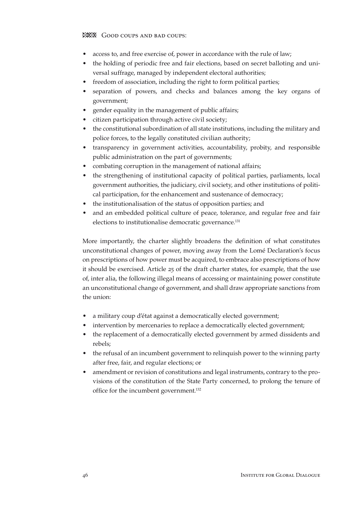- access to, and free exercise of, power in accordance with the rule of law;
- the holding of periodic free and fair elections, based on secret balloting and universal suffrage, managed by independent electoral authorities;
- freedom of association, including the right to form political parties;
- separation of powers, and checks and balances among the key organs of government; •
- gender equality in the management of public affairs;
- citizen participation through active civil society;
- the constitutional subordination of all state institutions, including the military and police forces, to the legally constituted civilian authority;
- transparency in government activities, accountability, probity, and responsible public administration on the part of governments;
- combating corruption in the management of national affairs;
- the strengthening of institutional capacity of political parties, parliaments, local government authorities, the judiciary, civil society, and other institutions of political participation, for the enhancement and sustenance of democracy;
- the institutionalisation of the status of opposition parties; and
- and an embedded political culture of peace, tolerance, and regular free and fair elections to institutionalise democratic governance.<sup>131</sup> •

More importantly, the charter slightly broadens the definition of what constitutes unconstitutional changes of power, moving away from the Lomé Declaration's focus on prescriptions of how power must be acquired, to embrace also prescriptions of how it should be exercised. Article 25 of the draft charter states, for example, that the use of, inter alia, the following illegal means of accessing or maintaining power constitute an unconstitutional change of government, and shall draw appropriate sanctions from the union:

- a military coup d'état against a democratically elected government; •
- intervention by mercenaries to replace a democratically elected government;
- the replacement of a democratically elected government by armed dissidents and rebels;
- the refusal of an incumbent government to relinquish power to the winning party after free, fair, and regular elections; or
- amendment or revision of constitutions and legal instruments, contrary to the provisions of the constitution of the State Party concerned, to prolong the tenure of office for the incumbent government.132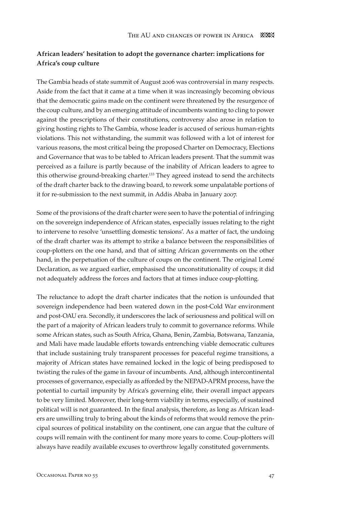## **African leaders' hesitation to adopt the governance charter: implications for Africa's coup culture**

The Gambia heads of state summit of August 2006 was controversial in many respects. Aside from the fact that it came at a time when it was increasingly becoming obvious that the democratic gains made on the continent were threatened by the resurgence of the coup culture, and by an emerging attitude of incumbents wanting to cling to power against the prescriptions of their constitutions, controversy also arose in relation to giving hosting rights to The Gambia, whose leader is accused of serious human-rights violations. This not withstanding, the summit was followed with a lot of interest for various reasons, the most critical being the proposed Charter on Democracy, Elections and Governance that was to be tabled to African leaders present. That the summit was perceived as a failure is partly because of the inability of African leaders to agree to this otherwise ground-breaking charter.133 They agreed instead to send the architects of the draft charter back to the drawing board, to rework some unpalatable portions of it for re-submission to the next summit, in Addis Ababa in January 2007.

Some of the provisions of the draft charter were seen to have the potential of infringing on the sovereign independence of African states, especially issues relating to the right to intervene to resolve 'unsettling domestic tensions'. As a matter of fact, the undoing of the draft charter was its attempt to strike a balance between the responsibilities of coup-plotters on the one hand, and that of sitting African governments on the other hand, in the perpetuation of the culture of coups on the continent. The original Lomé Declaration, as we argued earlier, emphasised the unconstitutionality of coups; it did not adequately address the forces and factors that at times induce coup-plotting.

The reluctance to adopt the draft charter indicates that the notion is unfounded that sovereign independence had been watered down in the post-Cold War environment and post-OAU era. Secondly, it underscores the lack of seriousness and political will on the part of a majority of African leaders truly to commit to governance reforms. While some African states, such as South Africa, Ghana, Benin, Zambia, Botswana, Tanzania, and Mali have made laudable efforts towards entrenching viable democratic cultures that include sustaining truly transparent processes for peaceful regime transitions, a majority of African states have remained locked in the logic of being predisposed to twisting the rules of the game in favour of incumbents. And, although intercontinental processes of governance, especially as afforded by the NEPAD-APRM process, have the potential to curtail impunity by Africa's governing elite, their overall impact appears to be very limited. Moreover, their long-term viability in terms, especially, of sustained political will is not guaranteed. In the final analysis, therefore, as long as African leaders are unwilling truly to bring about the kinds of reforms that would remove the principal sources of political instability on the continent, one can argue that the culture of coups will remain with the continent for many more years to come. Coup-plotters will always have readily available excuses to overthrow legally constituted governments.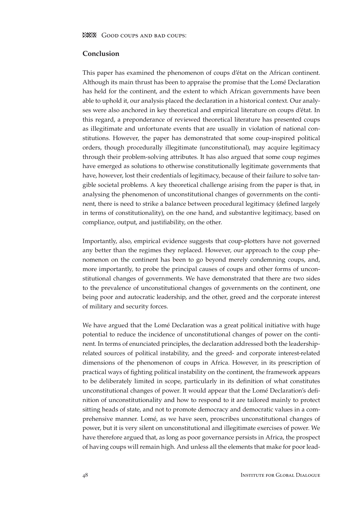## **Conclusion**

This paper has examined the phenomenon of coups d'état on the African continent. Although its main thrust has been to appraise the promise that the Lomé Declaration has held for the continent, and the extent to which African governments have been able to uphold it, our analysis placed the declaration in a historical context. Our analyses were also anchored in key theoretical and empirical literature on coups d'état. In this regard, a preponderance of reviewed theoretical literature has presented coups as illegitimate and unfortunate events that are usually in violation of national constitutions. However, the paper has demonstrated that some coup-inspired political orders, though procedurally illegitimate (unconstitutional), may acquire legitimacy through their problem-solving attributes. It has also argued that some coup regimes have emerged as solutions to otherwise constitutionally legitimate governments that have, however, lost their credentials of legitimacy, because of their failure to solve tangible societal problems. A key theoretical challenge arising from the paper is that, in analysing the phenomenon of unconstitutional changes of governments on the continent, there is need to strike a balance between procedural legitimacy (defined largely in terms of constitutionality), on the one hand, and substantive legitimacy, based on compliance, output, and justifiability, on the other.

Importantly, also, empirical evidence suggests that coup-plotters have not governed any better than the regimes they replaced. However, our approach to the coup phenomenon on the continent has been to go beyond merely condemning coups, and, more importantly, to probe the principal causes of coups and other forms of unconstitutional changes of governments. We have demonstrated that there are two sides to the prevalence of unconstitutional changes of governments on the continent, one being poor and autocratic leadership, and the other, greed and the corporate interest of military and security forces.

We have argued that the Lomé Declaration was a great political initiative with huge potential to reduce the incidence of unconstitutional changes of power on the continent. In terms of enunciated principles, the declaration addressed both the leadershiprelated sources of political instability, and the greed- and corporate interest-related dimensions of the phenomenon of coups in Africa. However, in its prescription of practical ways of fighting political instability on the continent, the framework appears to be deliberately limited in scope, particularly in its definition of what constitutes unconstitutional changes of power. It would appear that the Lomé Declaration's definition of unconstitutionality and how to respond to it are tailored mainly to protect sitting heads of state, and not to promote democracy and democratic values in a comprehensive manner. Lomé, as we have seen, proscribes unconstitutional changes of power, but it is very silent on unconstitutional and illegitimate exercises of power. We have therefore argued that, as long as poor governance persists in Africa, the prospect of having coups will remain high. And unless all the elements that make for poor lead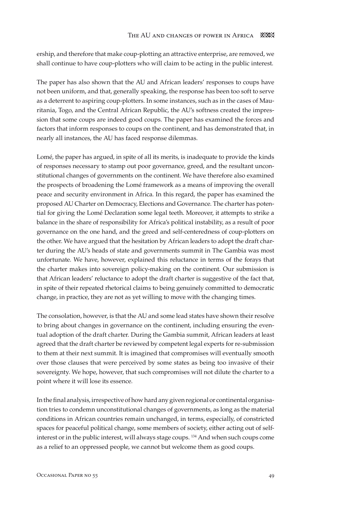ership, and therefore that make coup-plotting an attractive enterprise, are removed, we shall continue to have coup-plotters who will claim to be acting in the public interest.

The paper has also shown that the AU and African leaders' responses to coups have not been uniform, and that, generally speaking, the response has been too soft to serve as a deterrent to aspiring coup-plotters. In some instances, such as in the cases of Mauritania, Togo, and the Central African Republic, the AU's softness created the impression that some coups are indeed good coups. The paper has examined the forces and factors that inform responses to coups on the continent, and has demonstrated that, in nearly all instances, the AU has faced response dilemmas.

Lomé, the paper has argued, in spite of all its merits, is inadequate to provide the kinds of responses necessary to stamp out poor governance, greed, and the resultant unconstitutional changes of governments on the continent. We have therefore also examined the prospects of broadening the Lomé framework as a means of improving the overall peace and security environment in Africa. In this regard, the paper has examined the proposed AU Charter on Democracy, Elections and Governance. The charter has potential for giving the Lomé Declaration some legal teeth. Moreover, it attempts to strike a balance in the share of responsibility for Africa's political instability, as a result of poor governance on the one hand, and the greed and self-centeredness of coup-plotters on the other. We have argued that the hesitation by African leaders to adopt the draft charter during the AU's heads of state and governments summit in The Gambia was most unfortunate. We have, however, explained this reluctance in terms of the forays that the charter makes into sovereign policy-making on the continent. Our submission is that African leaders' reluctance to adopt the draft charter is suggestive of the fact that, in spite of their repeated rhetorical claims to being genuinely committed to democratic change, in practice, they are not as yet willing to move with the changing times.

The consolation, however, is that the AU and some lead states have shown their resolve to bring about changes in governance on the continent, including ensuring the eventual adoption of the draft charter. During the Gambia summit, African leaders at least agreed that the draft charter be reviewed by competent legal experts for re-submission to them at their next summit. It is imagined that compromises will eventually smooth over those clauses that were perceived by some states as being too invasive of their sovereignty. We hope, however, that such compromises will not dilute the charter to a point where it will lose its essence.

In the final analysis, irrespective of how hard any given regional or continental organisation tries to condemn unconstitutional changes of governments, as long as the material conditions in African countries remain unchanged, in terms, especially, of constricted spaces for peaceful political change, some members of society, either acting out of selfinterest or in the public interest, will always stage coups.<sup>134</sup> And when such coups come as a relief to an oppressed people, we cannot but welcome them as good coups.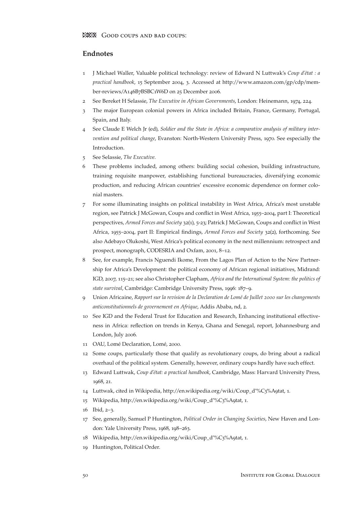## **Endnotes**

- 1 J Michael Waller, Valuable political technology: review of Edward N Luttwak's *Coup d'état : a practical handbook*, 15 September 2004, 3. Accessed at http://www.amazon.com/gp/cdp/member-reviews/A146B7BSBC1W6D on 25 December 2006.
- 2 See Bereket H Selassie, *The Executive in African Governments*, London: Heinemann, 1974, 224.
- 3 The major European colonial powers in Africa included Britain, France, Germany, Portugal, Spain, and Italy.
- 4 See Claude E Welch Jr (ed), *Soldier and the State in Africa: a comparative analysis of military intervention and political change*, Evanston: North-Western University Press, 1970. See especially the Introduction.
- 5 See Selassie, *The Executive*.
- 6 These problems included, among others: building social cohesion, building infrastructure, training requisite manpower, establishing functional bureaucracies, diversifying economic production, and reducing African countries' excessive economic dependence on former colonial masters.
- 7 For some illuminating insights on political instability in West Africa, Africa's most unstable region, see Patrick J McGowan, Coups and conflict in West Africa, 1955–2004, part I: Theoretical perspectives, *Armed Forces and Society* 32(1), 5-23; Patrick J McGowan, Coups and conflict in West Africa, 1955–2004, part II: Empirical findings, *Armed Forces and Society* 32(2), forthcoming. See also Adebayo Olukoshi, West Africa's political economy in the next millennium: retrospect and prospect, monograph, CODESRIA and Oxfam, 2001, 8–12.
- 8 See, for example, Francis Nguendi Ikome, From the Lagos Plan of Action to the New Partnership for Africa's Development: the political economy of African regional initiatives, Midrand: IGD, 2007, 115–21; see also Christopher Clapham, *Africa and the International System: the politics of state survival*, Cambridge: Cambridge University Press, 1996: 187–9.
- 9 Union Africaine, *Rapport sur la revision de la Declaration de Lomé de Juillet 2000 sur les changements anticonstitutionnels de governement en Afrique*, Addis Ababa, nd, 2.
- 10 See IGD and the Federal Trust for Education and Research, Enhancing institutional effectiveness in Africa: reflection on trends in Kenya, Ghana and Senegal, report, Johannesburg and London, July 2006.
- 11 OAU, Lomé Declaration, Lomé, 2000.
- 12 Some coups, particularly those that qualify as revolutionary coups, do bring about a radical overhaul of the political system. Generally, however, ordinary coups hardly have such effect.
- 13 Edward Luttwak, *Coup d'état: a practical handbook*, Cambridge, Mass: Harvard University Press, 1968, 21.
- 14 Luttwak, cited in Wikipedia, http://en.wikipedia.org/wiki/Coup\_d'%C3%A9tat, 1.
- 15 Wikipedia, http://en.wikipedia.org/wiki/Coup\_d'%C3%A9tat, 1.
- 16 Ibid, 2–3.
- 17 See, generally, Samuel P Huntington, *Political Order in Changing Societies*, New Haven and London: Yale University Press, 1968, 198–263.
- 18 Wikipedia, http://en.wikipedia.org/wiki/Coup\_d'%C3%A9tat, 1.
- 19 Huntington, Political Order.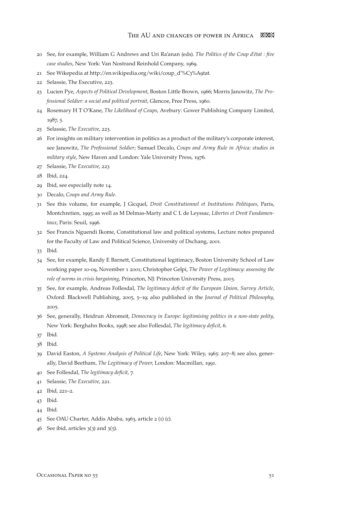## THE AU AND CHANGES OF POWER IN AFRICA XXX

- 20 See, for example, William G Andrews and Uri Ra'anan (eds). *The Politics of the Coup d'état : five case studies*, New York: Van Nostrand Reinhold Company, 1969.
- 21 See Wikepedia at http://en.wikipedia.org/wiki/coup\_d'%C3%A9tat.
- 22 Selassie, The Executive, 223.
- 23 Lucien Pye, *Aspects of Political Development*, Boston Little Brown, 1966; Morris Janowitz, *The Professional Soldier: a social and political portrait*, Glencoe, Free Press, 1960.
- 24 Rosemary H T O'Kane, *The Likelihood of Coups*, Avebury: Gower Publishing Company Limited, 1987, 5.
- 25 Selassie, *The Executive*, 223.
- 26 For insights on military intervention in politics as a product of the military's corporate interest, see Janowitz, *The Professional Soldier*; Samuel Decalo, *Coups and Army Rule in Africa: studies in military style*, New Haven and London: Yale University Press, 1976.
- 27 Selassie, *The Executive*, 223
- 28 Ibid, 224.
- 29 Ibid, see especially note 14.
- 30 Decalo, *Coups and Army Rule*.
- 31 See this volume, for example, J Gicquel, *Droit Constitutionnel et Institutions Politiques*, Paris, Montchretien, 1995; as well as M Delmas-Marty and C L de Leyssac, *Libertes et Droit Fundamentaux*, Paris: Seuil, 1996.
- 32 See Francis Nguendi Ikome, Constitutional law and political systems, Lecture notes prepared for the Faculty of Law and Political Science, University of Dschang, 2001.
- 33 Ibid.
- 34 See, for example, Randy E Barnett, Constitutional legitimacy, Boston University School of Law working paper 10-09, November 1 2001; Christopher Gelpi, *The Power of Legitimacy: assessing the role of norms in crisis bargaining*, Princeton, NJ: Princeton University Press, 2003.
- 35 See, for example, Andreas Follesdal, *The legitimacy deficit of the European Union, Survey Article*, Oxford: Blackwell Publishing, 2005, 5–19; also published in the *Journal of Political Philosophy*, 2005.
- 36 See, generally, Heidrun Abromeit, *Democracy in Europe: legitimising politics in a non-state polity*, New York: Berghahn Books, 1998; see also Follesdal, *The legitimacy deficit*, 6.
- 37 Ibid.
- 38 Ibid.
- 39 David Easton, *A Systems Analysis of Political Life*, New York: Wiley, 1965: 207–8; see also, generally, David Beetham, *The Legitimacy of Power*, London: Macmillan, 1991.
- 40 See Follesdal, *The legitimacy deficit*, 7.
- 41 Selassie, *The Executive*, 221.
- 42 Ibid, 221–2.
- 43 Ibid.
- 44 Ibid.
- 45 See OAU Charter, Addis Ababa, 1963, article 2 (1) (c).
- 46 See ibid, articles  $3(3)$  and  $3(5)$ .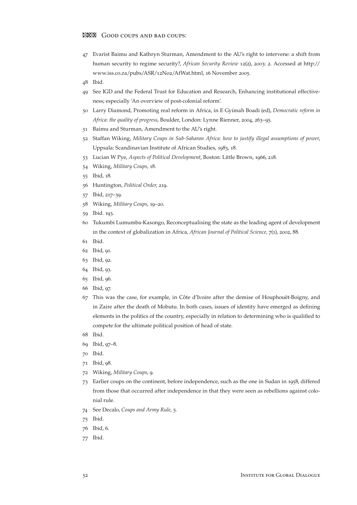- 47 Evarist Baimu and Kathryn Sturman, Amendment to the AU's right to intervene: a shift from human security to regime security?, *African Security Review* 12(2), 2003: 2. Accessed at http:// www.iss.co.za/pubs/ASR/12No2/AfWat.html, 16 November 2005.
- 48 Ibid.
- 49 See IGD and the Federal Trust for Education and Research, Enhancing institutional effectiveness; especially 'An overview of post-colonial reform'.
- 50 Larry Diamond, Promoting real reform in Africa, in E Gyimah Boadi (ed), *Democratic reform in Africa: the quality of progress*, Boulder, London: Lynne Rienner, 2004, 263–95.
- 51 Baimu and Sturman, Amendment to the AU's right.
- 52 Staffan Wiking, *Military Coups in Sub-Saharan Africa: how to justify illegal assumptions of power*, Uppsala: Scandinavian Institute of African Studies, 1983, 18.
- 53 Lucian W Pye, *Aspects of Political Development*, Boston: Little Brown, 1966, 218.
- 54 Wiking, *Military Coups*, 18.
- 55 Ibid, 18.
- 56 Huntington, *Political Order*, 219.
- 57 Ibid, 217–39.
- 58 Wiking, *Military Coups*, 19–20.
- 59 Ibid. 193.
- 60 Tukumbi Lumumba-Kasongo, Reconceptualising the state as the leading agent of development in the context of globalization in Africa, *African Journal of Political Science*, 7(1), 2002, 88.
- 61 Ibid.
- 62 Ibid, 91.
- 63 Ibid, 92.
- 64 Ibid, 93.
- 65 Ibid, 96.
- 66 Ibid, 97.
- 67 This was the case, for example, in Côte d'Ivoire after the demise of Houphouët-Boigny, and in Zaire after the death of Mobutu. In both cases, issues of identity have emerged as defining elements in the politics of the country, especially in relation to determining who is qualified to compete for the ultimate political position of head of state.
- 68 Ibid.
- 69 Ibid, 97–8.
- 70 Ibid.
- 71 Ibid, 98.
- 72 Wiking, *Military Coups*, 9.
- 73 Earlier coups on the continent, before independence, such as the one in Sudan in 1958, differed from those that occurred after independence in that they were seen as rebellions against colonial rule.
- 74 See Decalo, *Coups and Army Rule*, 5.
- 75 Ibid.
- 76 Ibid, 6.
- 77 Ibid.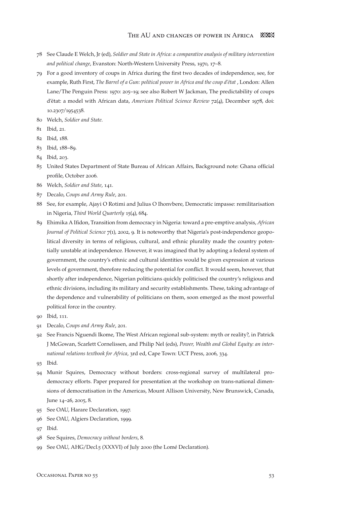## THE AU AND CHANGES OF POWER IN AFRICA XXX

- 78 See Claude E Welch, Jr (ed), *Soldier and State in Africa: a comparative analysis of military intervention and political change*, Evanston: North-Western University Press, 1970, 17–8.
- 79 For a good inventory of coups in Africa during the first two decades of independence, see, for example, Ruth First, *The Barrel of a Gun: political power in Africa and the coup d'état* , London: Allen Lane/The Penguin Press: 1970: 205–19; see also Robert W Jackman, The predictability of coups d'état: a model with African data, *American Political Science Review* 72(4), December 1978, doi: 10.2307/1954538.
- 80 Welch, *Soldier and State*.
- 81 Ibid, 21.
- 82 Ibid, 188.
- 83 Ibid, 188–89.
- 84 Ibid, 203.
- 85 United States Department of State Bureau of African Affairs, Background note: Ghana official profile, October 2006.
- 86 Welch, *Soldier and State*, 141.
- 87 Decalo, *Coups and Army Rule*, 201.
- 88 See, for example, Ajayi O Rotimi and Julius O Ihonvbere, Democratic impasse: remilitarisation in Nigeria, *Third World Quarterly* 15(4), 684.
- 89 Ehimika A Ifidon, Transition from democracy in Nigeria: toward a pre-emptive analysis, *African Journal of Political Science* 7(1), 2002, 9. It is noteworthy that Nigeria's post-independence geopolitical diversity in terms of religious, cultural, and ethnic plurality made the country potentially unstable at independence. However, it was imagined that by adopting a federal system of government, the country's ethnic and cultural identities would be given expression at various levels of government, therefore reducing the potential for conflict. It would seem, however, that shortly after independence, Nigerian politicians quickly politicised the country's religious and ethnic divisions, including its military and security establishments. These, taking advantage of the dependence and vulnerability of politicians on them, soon emerged as the most powerful political force in the country.
- 90 Ibid, 111.
- 91 Decalo, *Coups and Army Rule*, 201.
- 92 See Francis Nguendi Ikome, The West African regional sub-system: myth or reality?, in Patrick J McGowan, Scarlett Cornelissen, and Philip Nel (eds), *Power, Wealth and Global Equity: an international relations textbook for Africa*, 3rd ed, Cape Town: UCT Press, 2006, 334.
- 93 Ibid.
- 94 Munir Squires, Democracy without borders: cross-regional survey of multilateral prodemocracy efforts. Paper prepared for presentation at the workshop on trans-national dimensions of democratisation in the Americas, Mount Allison University, New Brunswick, Canada, June 14–26, 2005, 8.
- 95 See OAU, Harare Declaration, 1997.
- 96 See OAU, Algiers Declaration, 1999.
- 97 Ibid.
- 98 See Squires, *Democracy without borders*, 8.
- 99 See OAU, AHG/Decl.5 (XXXVI) of July 2000 (the Lomé Declaration).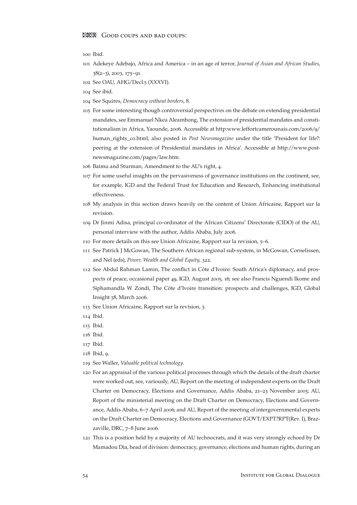100 Ibid.

- 101 Adekeye Adebajo, Africa and America in an age of terror, *Journal of Asian and African Studies*, 38(2–3), 2003, 175–91.
- 102 See OAU, AHG/Decl.5 (XXXVI).
- 104 See ibid.
- 104 See Squires, *Democracy without borders*, 8.
- 105 For some interesting though controversial perspectives on the debate on extending presidential mandates, see Emmanuel Nkea Aleambong, The extension of presidential mandates and constitutionalism in Africa, Yaounde, 2006. Accessible at http:www.leffortcamerounais.com/2006/9/ human\_rights\_co.html; also posted in *Post Newsmagazine* under the title 'President for life?: peering at the extension of Presidential mandates in Africa'. Accessible at http://www.postnewsmagazine.com/pages/law.htm.
- 106 Baimu and Sturman, Amendment to the AU's right, 4.
- 107 For some useful insights on the pervasiveness of governance institutions on the continent, see, for example, IGD and the Federal Trust for Education and Research, Enhancing institutional effectiveness.
- 108 My analysis in this section draws heavily on the content of Union Africaine, Rapport sur la revision.
- 109 Dr Jinmi Adisa, principal co-ordinator of the African Citizens' Directorate (CIDO) of the AU, personal interview with the author, Addis Ababa, July 2006.
- 110 For more details on this see Union Africaine, Rapport sur la revision, 5–6.
- 111 See Patrick J McGowan, The Southern African regional sub-system, in McGowan, Cornelissen, and Nel (eds), *Power, Wealth and Global Equity*, 322.
- 112 See Abdul Rahman Lamin, The conflict in Côte d'Ivoire: South Africa's diplomacy, and prospects of peace, occasional paper 49, IGD, August 2005, 16; see also Francis Nguendi Ikome and Siphamandla W Zondi, The Côte d'Ivoire transition: prospects and challenges, IGD, Global Insight 58, March 2006.
- 113 See Union Africaine, Rapport sur la revision, 5.
- 114 Ibid.
- 115 Ibid.
- 116 Ibid.
- 117 Ibid.
- 118 Ibid, 9.
- 119 See Waller, *Valuable political technology*.
- 120 For an appraisal of the various political processes through which the details of the draft charter were worked out, see, variously, AU, Report on the meeting of independent experts on the Draft Charter on Democracy, Elections and Governance, Addis Ababa, 21–23 November 2005; AU, Report of the ministerial meeting on the Draft Charter on Democracy, Elections and Governance, Addis Ababa, 6–7 April 2006; and AU, Report of the meeting of intergovernmental experts on the Draft Charter on Democracy, Elections and Governance (GOVT/EXPT?RPT(Rev. I), Brazzaville, DRC, 7–8 June 2006.
- 121 This is a position held by a majority of AU technocrats, and it was very strongly echoed by Dr Mamadou Dia, head of division: democracy, governance, elections and human rights, during an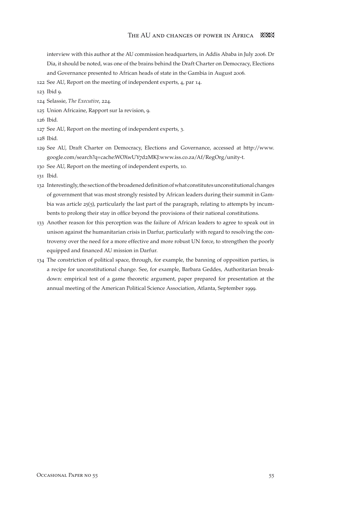## THE AU AND CHANGES OF POWER IN AFRICA XXX

interview with this author at the AU commission headquarters, in Addis Ababa in July 2006. Dr Dia, it should be noted, was one of the brains behind the Draft Charter on Democracy, Elections and Governance presented to African heads of state in the Gambia in August 2006.

122 See AU, Report on the meeting of independent experts, 4, par 14.

123 Ibid 9.

- 124 Selassie, *The Executive*, 224.
- 125 Union Africaine, Rapport sur la revision, 9.
- 126 Ibid.
- 127 See AU, Report on the meeting of independent experts, 3.
- 128 Ibid.
- 129 See AU, Draft Charter on Democracy, Elections and Governance, accessed at http://www. google.com/search?q=cache:WOXwUY7d2MKJ:www.iss.co.za/Af/RegOrg/unity-t.
- 130 See AU, Report on the meeting of independent experts, 10.
- 131 Ibid.
- 132 Interestingly, the section of the broadened definition of what constitutes unconstitutional changes of government that was most strongly resisted by African leaders during their summit in Gambia was article  $25(5)$ , particularly the last part of the paragraph, relating to attempts by incumbents to prolong their stay in office beyond the provisions of their national constitutions.
- 133 Another reason for this perception was the failure of African leaders to agree to speak out in unison against the humanitarian crisis in Darfur, particularly with regard to resolving the controversy over the need for a more effective and more robust UN force, to strengthen the poorly equipped and financed AU mission in Darfur.
- 134 The constriction of political space, through, for example, the banning of opposition parties, is a recipe for unconstitutional change. See, for example, Barbara Geddes, Authoritarian breakdown: empirical test of a game theoretic argument, paper prepared for presentation at the annual meeting of the American Political Science Association, Atlanta, September 1999.